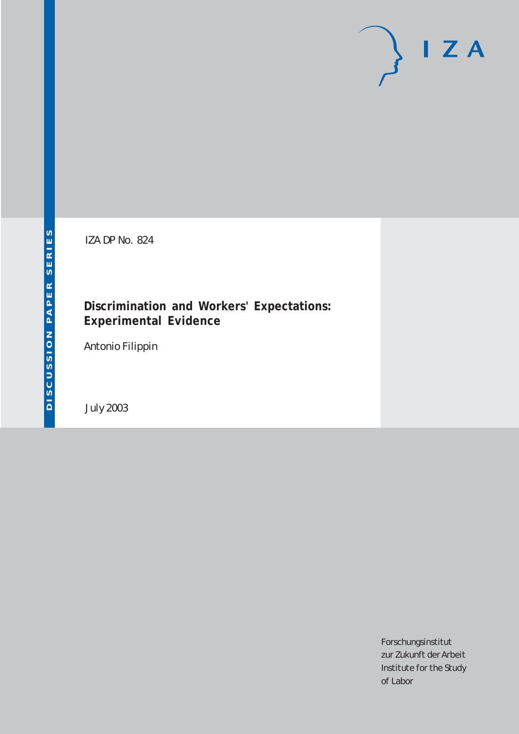# $I Z A$

IZA DP No. 824

### **Discrimination and Workers' Expectations: Experimental Evidence**

Antonio Filippin

July 2003

Forschungsinstitut zur Zukunft der Arbeit Institute for the Study of Labor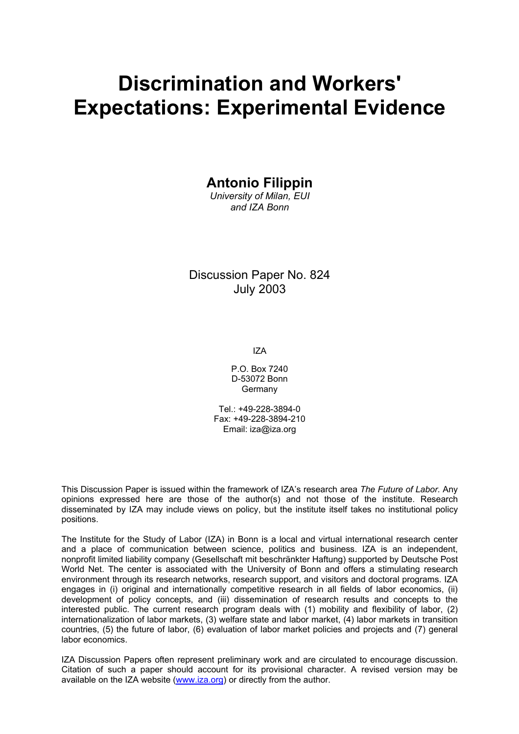# **Discrimination and Workers' Expectations: Experimental Evidence**

**Antonio Filippin** 

*University of Milan, EUI and IZA Bonn* 

Discussion Paper No. 824 July 2003

IZA

P.O. Box 7240 D-53072 Bonn Germany

Tel.: +49-228-3894-0 Fax: +49-228-3894-210 Email: [iza@iza.org](mailto:iza@iza.org)

This Discussion Paper is issued within the framework of IZA's research area *The Future of Labor.* Any opinions expressed here are those of the author(s) and not those of the institute. Research disseminated by IZA may include views on policy, but the institute itself takes no institutional policy positions.

The Institute for the Study of Labor (IZA) in Bonn is a local and virtual international research center and a place of communication between science, politics and business. IZA is an independent, nonprofit limited liability company (Gesellschaft mit beschränkter Haftung) supported by Deutsche Post World Net. The center is associated with the University of Bonn and offers a stimulating research environment through its research networks, research support, and visitors and doctoral programs. IZA engages in (i) original and internationally competitive research in all fields of labor economics, (ii) development of policy concepts, and (iii) dissemination of research results and concepts to the interested public. The current research program deals with (1) mobility and flexibility of labor, (2) internationalization of labor markets, (3) welfare state and labor market, (4) labor markets in transition countries, (5) the future of labor, (6) evaluation of labor market policies and projects and (7) general labor economics.

IZA Discussion Papers often represent preliminary work and are circulated to encourage discussion. Citation of such a paper should account for its provisional character. A revised version may be available on the IZA website ([www.iza.org](http://www.iza.org/)) or directly from the author.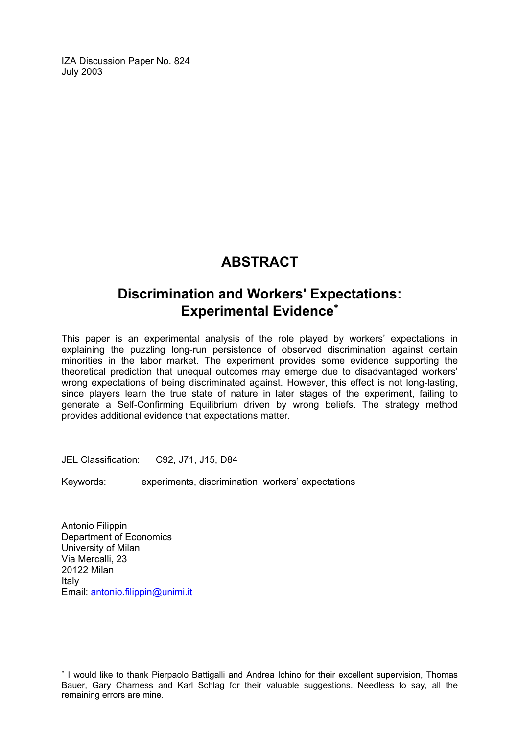IZA Discussion Paper No. 824 July 2003

## **ABSTRACT**

## **Discrimination and Workers' Expectations: Experimental Evidence**[∗](#page-2-0)

This paper is an experimental analysis of the role played by workers' expectations in explaining the puzzling long-run persistence of observed discrimination against certain minorities in the labor market. The experiment provides some evidence supporting the theoretical prediction that unequal outcomes may emerge due to disadvantaged workers' wrong expectations of being discriminated against. However, this effect is not long-lasting, since players learn the true state of nature in later stages of the experiment, failing to generate a Self-Confirming Equilibrium driven by wrong beliefs. The strategy method provides additional evidence that expectations matter.

JEL Classification: C92, J71, J15, D84

Keywords: experiments, discrimination, workers' expectations

Antonio Filippin Department of Economics University of Milan Via Mercalli, 23 20122 Milan Italy Email: [antonio.filippin@unimi.it](mailto:Antonio.filippin@unimi.it)

 $\overline{a}$ 

<span id="page-2-0"></span><sup>∗</sup> I would like to thank Pierpaolo Battigalli and Andrea Ichino for their excellent supervision, Thomas Bauer, Gary Charness and Karl Schlag for their valuable suggestions. Needless to say, all the remaining errors are mine.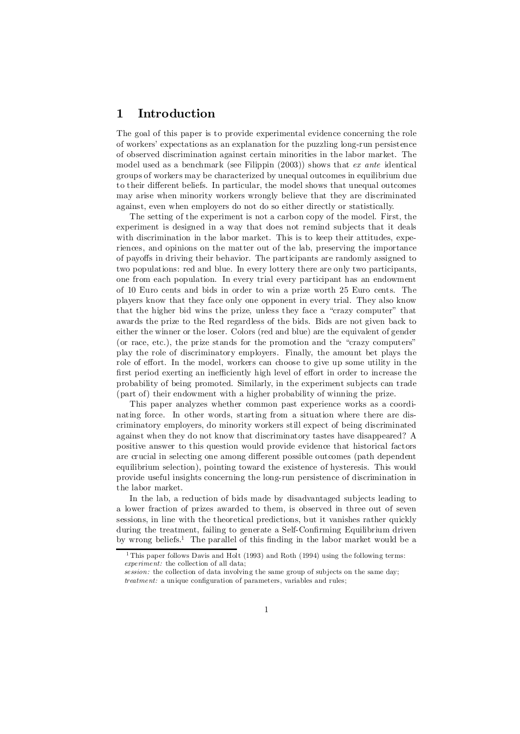#### 1 Introduction

The goal of this paper is to provide experimental evidence concerning the role of workers' expectations as an explanation for the puzzling long-run persistence of observed discrimination against certain minorities in the labor market. The model used as a benchmark (see Filippin (2003)) shows that ex ante identical groups of workers may be characterized by unequal outcomes in equilibrium due to their different beliefs. In particular, the model shows that unequal outcomes may arise when minority workers wrongly believe that they are discriminated against, even when employers do not do so either directly or statistically.

The setting of the experiment is not a carbon copy of the model. First, the experiment is designed in a way that does not remind subjects that it deals with discrimination in the labor market. This is to keep their attitudes, experiences, and opinions on the matter out of the lab, preserving the importance of payoffs in driving their behavior. The participants are randomly assigned to two populations: red and blue. In every lottery there are only two participants, one from each population. In every trial every participant has an endowment of 10 Euro cents and bids in order to win a prize worth 25 Euro cents. The players know that they face only one opponent in every trial. They also know that the higher bid wins the prize, unless they face a "crazy computer" that awards the prize to the Red regardless of the bids. Bids are not given back to either the winner or the loser. Colors (red and blue) are the equivalent of gender (or race, etc.), the prize stands for the promotion and the "crazy computers" play the role of discriminatory employers. Finally, the amount bet plays the role of effort. In the model, workers can choose to give up some utility in the first period exerting an inefficiently high level of effort in order to increase the probability of being promoted. Similarly, in the experiment subjects can trade (part of) their endowment with a higher probability of winning the prize.

This paper analyzes whether common past experience works as a coordinating force. In other words, starting from a situation where there are discriminatory employers, do minority workers still expect of being discriminated against when they do not know that discriminatory tastes have disappeared? A positive answer to this question would provide evidence that historical factors are crucial in selecting one among different possible outcomes (path dependent equilibrium selection), pointing toward the existence of hysteresis. This would provide useful insights concerning the long-run persistence of discrimination in the labor market.

In the lab, a reduction of bids made by disadvantaged subjects leading to a lower fraction of prizes awarded to them, is observed in three out of seven sessions, in line with the theoretical predictions, but it vanishes rather quickly during the treatment, failing to generate a Self-Confirming Equilibrium driven by wrong beliefs.<sup>1</sup> The parallel of this finding in the labor market would be a

<sup>&</sup>lt;sup>1</sup> This paper follows Davis and Holt (1993) and Roth (1994) using the following terms: experiment: the collection of all data;

session: the collection of data involving the same group of subjects on the same day;  $treatment:$  a unique configuration of parameters, variables and rules;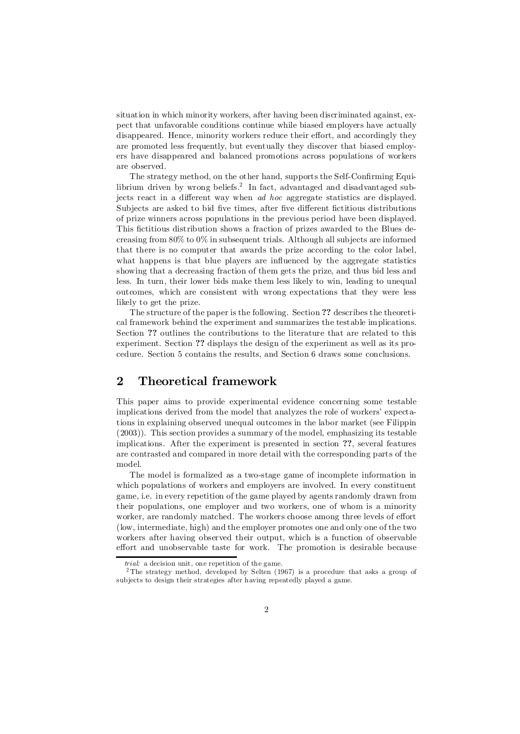situation in which minority workers, after having been discriminated against, expect that unfavorable conditions continue while biased employers have actually disappeared. Hence, minority workers reduce their effort, and accordingly they are promoted less frequently, but eventually they discover that biased employers have disappeared and balanced promotions across populations of workers are observed.

The strategy method, on the other hand, supports the Self-Confirming Equilibrium driven by wrong beliefs.<sup>2</sup> In fact, advantaged and disadvantaged subjects react in a different way when *ad hoc* aggregate statistics are displayed. Subjects are asked to bid five times, after five different fictitious distributions of prize winners across populations in the previous period have been displayed. This fictitious distribution shows a fraction of prizes awarded to the Blues decreasing from  $80\%$  to  $0\%$  in subsequent trials. Although all subjects are informed that there is no computer that awards the prize according to the color label, what happens is that blue players are influenced by the aggregate statistics showing that a decreasing fraction of them gets the prize, and thus bid less and less. In turn, their lower bids make them less likely to win, leading to unequal outcomes, which are consistent with wrong expectations that they were less likely to get the prize.

The structure of the paper is the following. Section ?? describes the theoretical framework behind the experiment and summarizes the testable implications. Section ?? outlines the contributions to the literature that are related to this experiment. Section ?? displays the design of the experiment as well as its procedure. Section 5 contains the results, and Section 6 draws some conclusions.

#### 2 Theoretical framework

This paper aims to provide experimental evidence concerning some testable implications derived from the model that analyzes the role of workers' expectations in explaining observed unequal outcomes in the labor market (see Filippin (2003)). This section provides a summary of the model, emphasizing its testable implications. After the experiment is presented in section ??, several features are contrasted and compared in more detail with the corresponding parts of the model.

The model is formalized as a two-stage game of incomplete information in which populations of workers and employers are involved. In every constituent game, i.e. in every repetition of the game played by agents randomly drawn from their populations, one employer and two workers, one of whom is a minority worker, are randomly matched. The workers choose among three levels of effort (low, intermediate, high) and the employer promotes one and only one of the two workers after having observed their output, which is a function of observable effort and unobservable taste for work. The promotion is desirable because

trial: a decision unit, one repetition of the game.

<sup>&</sup>lt;sup>2</sup>The strategy method, developed by Selten (1967) is a procedure that asks a group of subjects to design their strategies after having repeatedly played a game.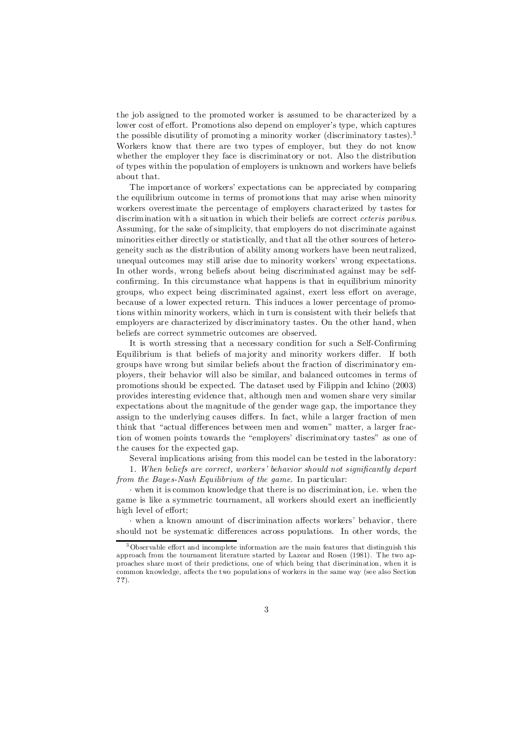the job assigned to the promoted worker is assumed to be characterized by a lower cost of effort. Promotions also depend on employer's type, which captures the possible disutility of promoting a minority worker (discriminatory tastes).<sup>3</sup> Workers know that there are two types of employer, but they do not know whether the employer they face is discriminatory or not. Also the distribution of types within the population of employers is unknown and workers have beliefs about that.

The importance of workers' expectations can be appreciated by comparing the equilibrium outcome in terms of promotions that may arise when minority workers overestimate the percentage of employers characterized by tastes for discrimination with a situation in which their beliefs are correct *ceteris paribus*. Assuming, for the sake of simplicity, that employers do not discriminate against minorities either directly or statistically, and that all the other sources of heterogeneity such as the distribution of ability among workers have been neutralized, unequal outcomes may still arise due to minority workers' wrong expectations. In other words, wrong beliefs about being discriminated against may be selfconfirming. In this circumstance what happens is that in equilibrium minority groups, who expect being discriminated against, exert less effort on average, because of a lower expected return. This induces a lower percentage of promotions within minority workers, which in turn is consistent with their beliefs that employers are characterized by discriminatory tastes. On the other hand, when beliefs are correct symmetric outcomes are observed.

It is worth stressing that a necessary condition for such a Self-Confirming Equilibrium is that beliefs of majority and minority workers differ. If both groups have wrong but similar beliefs about the fraction of discriminatory employers, their behavior will also be similar, and balanced outcomes in terms of promotions should be expected. The dataset used by Filippin and Ichino (2003) provides interesting evidence that, although men and women share very similar expectations about the magnitude of the gender wage gap, the importance they assign to the underlying causes differs. In fact, while a larger fraction of men think that "actual differences between men and women" matter, a larger fraction of women points towards the "employers' discriminatory tastes" as one of the causes for the expected gap.

Several implications arising from this model can be tested in the laboratory:

1. When beliefs are correct, workers' behavior should not significantly depart from the Bayes-Nash Equilibrium of the game. In particular:

¢ when it is common knowledge that there is no discrimination, i.e. when the game is like a symmetric tournament, all workers should exert an inefficiently high level of effort;

 $\cdot$  when a known amount of discrimination affects workers' behavior, there should not be systematic differences across populations. In other words, the

 $3$  Observable effort and incomplete information are the main features that distinguish this approach from the tournament literature started by Lazear and Rosen (1981). The two approaches share most of their predictions, one of which being that discrimination, when it is common knowledge, affects the two populations of workers in the same way (see also Section ??).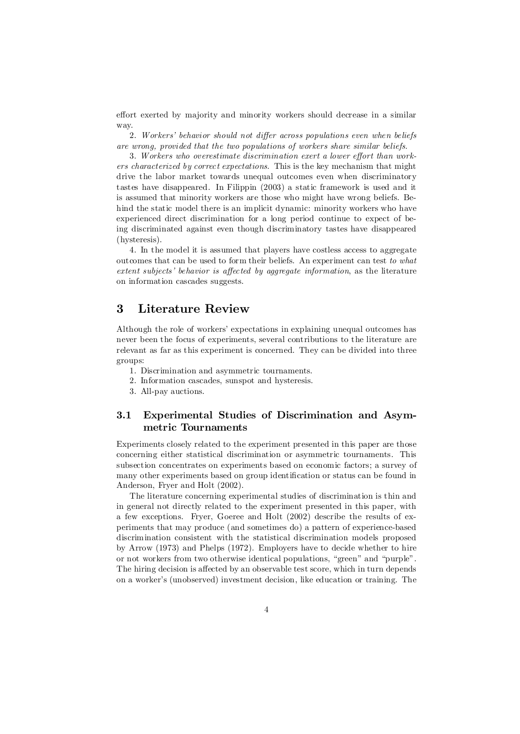effort exerted by majority and minority workers should decrease in a similar way.

2. Workers' behavior should not differ across populations even when beliefs are wrong, provided that the two populations of workers share similar beliefs.

3. Workers who overestimate discrimination exert a lower effort than workers characterized by correct expectations. This is the key mechanism that might drive the labor market towards unequal outcomes even when discriminatory tastes have disappeared. In Filippin (2003) a static framework is used and it is assumed that minority workers are those who might have wrong beliefs. Behind the static model there is an implicit dynamic: minority workers who have experienced direct discrimination for a long period continue to expect of being discriminated against even though discriminatory tastes have disappeared (hysteresis).

4. In the model it is assumed that players have costless access to aggregate outcomes that can be used to form their beliefs. An experiment can test to what  $extent$  subjects' behavior is affected by aggregate information, as the literature on information cascades suggests.

#### 3 Literature Review

Although the role of workers' expectations in explaining unequal outcomes has never been the focus of experiments, several contributions to the literature are relevant as far as this experiment is concerned. They can be divided into three groups:

- 1. Discrimination and asymmetric tournaments.
- 2. Information cascades, sunspot and hysteresis.
- 3. All-pay auctions.

#### 3.1 Experimental Studies of Discrimination and Asymmetric Tournaments

Experiments closely related to the experiment presented in this paper are those concerning either statistical discrimination or asymmetric tournaments. This subsection concentrates on experiments based on economic factors; a survey of many other experiments based on group identification or status can be found in Anderson, Fryer and Holt (2002).

The literature concerning experimental studies of discrimination is thin and in general not directly related to the experiment presented in this paper, with a few exceptions. Fryer, Goeree and Holt (2002) describe the results of experiments that may produce (and sometimes do) a pattern of experience-based discrimination consistent with the statistical discrimination models proposed by Arrow (1973) and Phelps (1972). Employers have to decide whether to hire or not workers from two otherwise identical populations, "green" and "purple". The hiring decision is affected by an observable test score, which in turn depends on a worker's (unobserved) investment decision, like education or training. The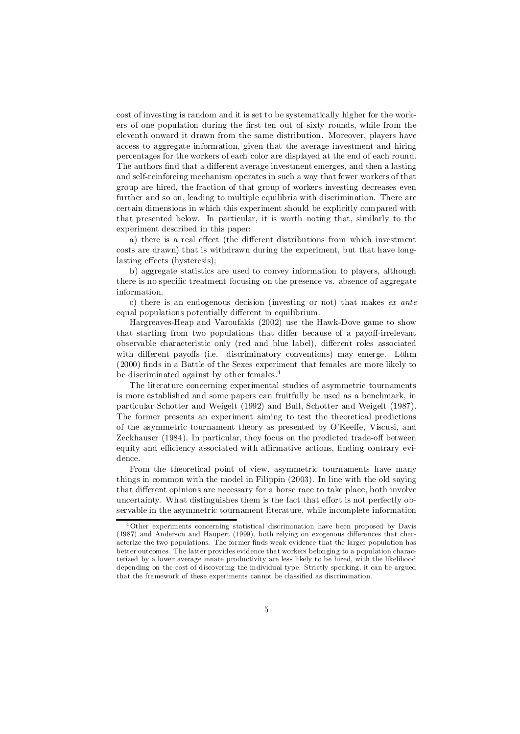cost of investing is random and it is set to be systematically higher for the workers of one population during the first ten out of sixty rounds, while from the eleventh onward it drawn from the same distribution. Moreover, players have access to aggregate information, given that the average investment and hiring percentages for the workers of each color are displayed at the end of each round. The authors find that a different average investment emerges, and then a lasting and self-reinforcing mechanism operates in such a way that fewer workers of that group are hired, the fraction of that group of workers investing decreases even further and so on, leading to multiple equilibria with discrimination. There are certain dimensions in which this experiment should be explicitly compared with that presented below. In particular, it is worth noting that, similarly to the experiment described in this paper:

a) there is a real effect (the different distributions from which investment costs are drawn) that is withdrawn during the experiment, but that have longlasting effects (hysteresis);

b) aggregate statistics are used to convey information to players, although there is no specific treatment focusing on the presence vs. absence of aggregate information.

c) there is an endogenous decision (investing or not) that makes  $ex$  ante equal populations potentially different in equilibrium.

Hargreaves-Heap and Varoufakis (2002) use the Hawk-Dove game to show that starting from two populations that differ because of a payoff-irrelevant observable characteristic only (red and blue label), different roles associated with different payoffs (i.e. discriminatory conventions) may emerge. Löhm  $(2000)$  finds in a Battle of the Sexes experiment that females are more likely to be discriminated against by other females.<sup>4</sup>

The literature concerning experimental studies of asymmetric tournaments is more established and some papers can fruitfully be used as a benchmark, in particular Schotter and Weigelt (1992) and Bull, Schotter and Weigelt (1987). The former presents an experiment aiming to test the theoretical predictions of the asymmetric tournament theory as presented by O'Keeffe, Viscusi, and Zeckhauser (1984). In particular, they focus on the predicted trade-off between equity and efficiency associated with affirmative actions, finding contrary evidence.

From the theoretical point of view, asymmetric tournaments have many things in common with the model in Filippin (2003). In line with the old saying that different opinions are necessary for a horse race to take place, both involve uncertainty. What distinguishes them is the fact that effort is not perfectly observable in the asymmetric tournament literature, while incomplete information

<sup>4</sup> Other experiments concerning statistical discrimination have been proposed by Davis  $(1987)$  and Anderson and Haupert  $(1999)$ , both relying on exogenous differences that characterize the two populations. The former finds weak evidence that the larger population has better outcomes. The latter provides evidence that workers belonging to a population characterized by a lower average innate productivity are less likely to be hired, with the likelihood depending on the cost of discovering the individual type. Strictly speaking, it can be argued that the framework of these experiments cannot be classified as discrimination.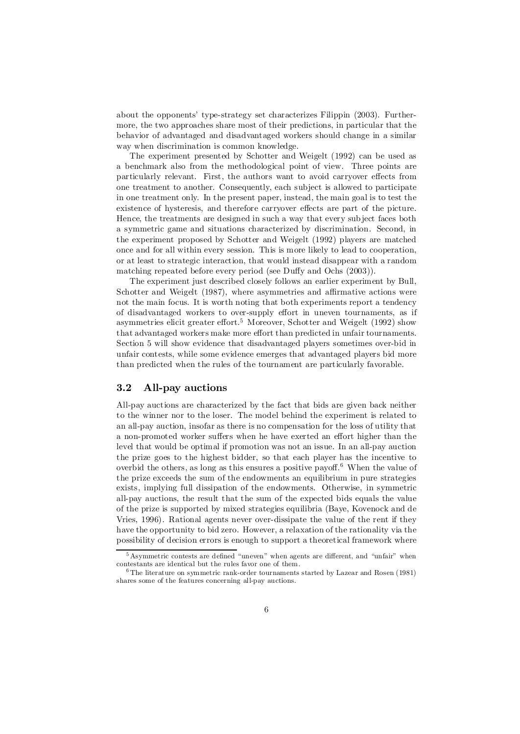about the opponents' type-strategy set characterizes Filippin (2003). Furthermore, the two approaches share most of their predictions, in particular that the behavior of advantaged and disadvantaged workers should change in a similar way when discrimination is common knowledge.

The experiment presented by Schotter and Weigelt (1992) can be used as a benchmark also from the methodological point of view. Three points are particularly relevant. First, the authors want to avoid carryover effects from one treatment to another. Consequently, each subject is allowed to participate in one treatment only. In the present paper, instead, the main goal is to test the existence of hysteresis, and therefore carryover effects are part of the picture. Hence, the treatments are designed in such a way that every subject faces both a symmetric game and situations characterized by discrimination. Second, in the experiment proposed by Schotter and Weigelt (1992) players are matched once and for all within every session. This is more likely to lead to cooperation, or at least to strategic interaction, that would instead disappear with a random matching repeated before every period (see Duffy and Ochs  $(2003)$ ).

The experiment just described closely follows an earlier experiment by Bull, Schotter and Weigelt  $(1987)$ , where asymmetries and affirmative actions were not the main focus. It is worth noting that both experiments report a tendency of disadvantaged workers to over-supply effort in uneven tournaments, as if asymmetries elicit greater effort.<sup>5</sup> Moreover, Schotter and Weigelt (1992) show that advantaged workers make more effort than predicted in unfair tournaments. Section 5 will show evidence that disadvantaged players sometimes over-bid in unfair contests, while some evidence emerges that advantaged players bid more than predicted when the rules of the tournament are particularly favorable.

#### 3.2 All-pay auctions

All-pay auctions are characterized by the fact that bids are given back neither to the winner nor to the loser. The model behind the experiment is related to an all-pay auction, insofar as there is no compensation for the loss of utility that a non-promoted worker suffers when he have exerted an effort higher than the level that would be optimal if promotion was not an issue. In an all-pay auction the prize goes to the highest bidder, so that each player has the incentive to overbid the others, as long as this ensures a positive payoff.<sup>6</sup> When the value of the prize exceeds the sum of the endowments an equilibrium in pure strategies exists, implying full dissipation of the endowments. Otherwise, in symmetric all-pay auctions, the result that the sum of the expected bids equals the value of the prize is supported by mixed strategies equilibria (Baye, Kovenock and de Vries, 1996). Rational agents never over-dissipate the value of the rent if they have the opportunity to bid zero. However, a relaxation of the rationality via the possibility of decision errors is enough to support a theoretical framework where

 $5$  Asymmetric contests are defined "uneven" when agents are different, and "unfair" when contestants are identical but the rules favor one of them.

 $6$  The literature on symmetric rank-order tournaments started by Lazear and Rosen (1981) shares some of the features concerning all-pay auctions.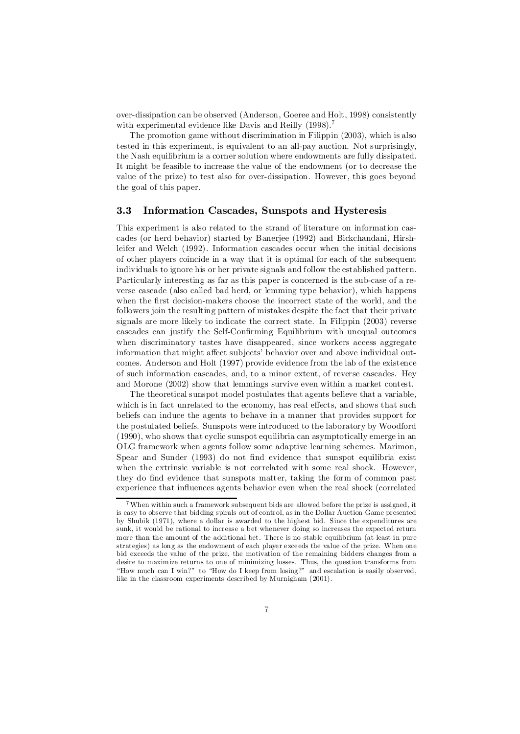over-dissipation can be observed (Anderson, Goeree and Holt, 1998) consistently with experimental evidence like Davis and Reilly (1998).<sup>7</sup>

The promotion game without discrimination in Filippin (2003), which is also tested in this experiment, is equivalent to an all-pay auction. Not surprisingly, the Nash equilibrium is a corner solution where endowments are fully dissipated. It might be feasible to increase the value of the endowment (or to decrease the value of the prize) to test also for over-dissipation. However, this goes beyond the goal of this paper.

#### 3.3 Information Cascades, Sunspots and Hysteresis

This experiment is also related to the strand of literature on information cascades (or herd behavior) started by Banerjee (1992) and Bickchandani, Hirshleifer and Welch (1992). Information cascades occur when the initial decisions of other players coincide in a way that it is optimal for each of the subsequent individuals to ignore his or her private signals and follow the established pattern. Particularly interesting as far as this paper is concerned is the sub-case of a reverse cascade (also called bad herd, or lemming type behavior), which happens when the first decision-makers choose the incorrect state of the world, and the followers join the resulting pattern of mistakes despite the fact that their private signals are more likely to indicate the correct state. In Filippin (2003) reverse cascades can justify the Self-Confirming Equilibrium with unequal outcomes when discriminatory tastes have disappeared, since workers access aggregate information that might affect subjects' behavior over and above individual outcomes. Anderson and Holt (1997) provide evidence from the lab of the existence of such information cascades, and, to a minor extent, of reverse cascades. Hey and Morone (2002) show that lemmings survive even within a market contest.

The theoretical sunspot model postulates that agents believe that a variable, which is in fact unrelated to the economy, has real effects, and shows that such beliefs can induce the agents to behave in a manner that provides support for the postulated beliefs. Sunspots were introduced to the laboratory by Woodford (1990), who shows that cyclic sunspot equilibria can asymptotically emerge in an OLG framework when agents follow some adaptive learning schemes. Marimon, Spear and Sunder  $(1993)$  do not find evidence that sunspot equilibria exist when the extrinsic variable is not correlated with some real shock. However, they do find evidence that sunspots matter, taking the form of common past experience that influences agents behavior even when the real shock (correlated

<sup>7</sup> When within such a framework subsequent bids are allowed before the prize is assigned, it is easy to observe that bidding spirals out of control, as in the Dollar Auction Game presented by Shubik (1971), where a dollar is awarded to the highest bid. Since the expenditures are sunk, it would be rational to increase a bet whenever doing so increases the expected return more than the amount of the additional bet. There is no stable equilibrium (at least in pure strategies) as long as the endowment of each player exceeds the value of the prize. When one bid exceeds the value of the prize, the motivation of the remaining bidders changes from a desire to maximize returns to one of minimizing losses. Thus, the question transforms from "How much can I win?" to "How do I keep from losing?" and escalation is easily observed, like in the classroom experiments described by Murnigham (2001).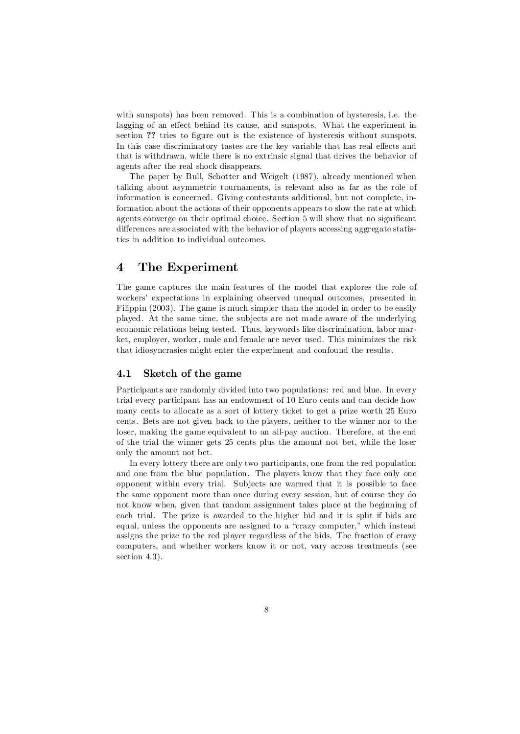with sunspots) has been removed. This is a combination of hysteresis, i.e. the lagging of an effect behind its cause, and sunspots. What the experiment in section ?? tries to figure out is the existence of hysteresis without sunspots. In this case discriminatory tastes are the key variable that has real effects and that is withdrawn, while there is no extrinsic signal that drives the behavior of agents after the real shock disappears.

The paper by Bull, Schotter and Weigelt (1987), already mentioned when talking about asymmetric tournaments, is relevant also as far as the role of information is concerned. Giving contestants additional, but not complete, information about the actions of their opponents appears to slow the rate at which agents converge on their optimal choice. Section 5 will show that no significant differences are associated with the behavior of players accessing aggregate statistics in addition to individual outcomes.

#### 4 The Experiment

The game captures the main features of the model that explores the role of workers' expectations in explaining observed unequal outcomes, presented in Filippin (2003). The game is much simpler than the model in order to be easily played. At the same time, the subjects are not made aware of the underlying economic relations being tested. Thus, keywords like discrimination, labor market, employer, worker, male and female are never used. This minimizes the risk that idiosyncrasies might enter the experiment and confound the results.

#### 4.1 Sketch of the game

Participants are randomly divided into two populations: red and blue. In every trial every participant has an endowment of 10 Euro cents and can decide how many cents to allocate as a sort of lottery ticket to get a prize worth 25 Euro cents. Bets are not given back to the players, neither to the winner nor to the loser, making the game equivalent to an all-pay auction. Therefore, at the end of the trial the winner gets 25 cents plus the amount not bet, while the loser only the amount not bet.

In every lottery there are only two participants, one from the red population and one from the blue population. The players know that they face only one opponent within every trial. Subjects are warned that it is possible to face the same opponent more than once during every session, but of course they do not know when, given that random assignment takes place at the beginning of each trial. The prize is awarded to the higher bid and it is split if bids are equal, unless the opponents are assigned to a "crazy computer," which instead assigns the prize to the red player regardless of the bids. The fraction of crazy computers, and whether workers know it or not, vary across treatments (see section 4.3).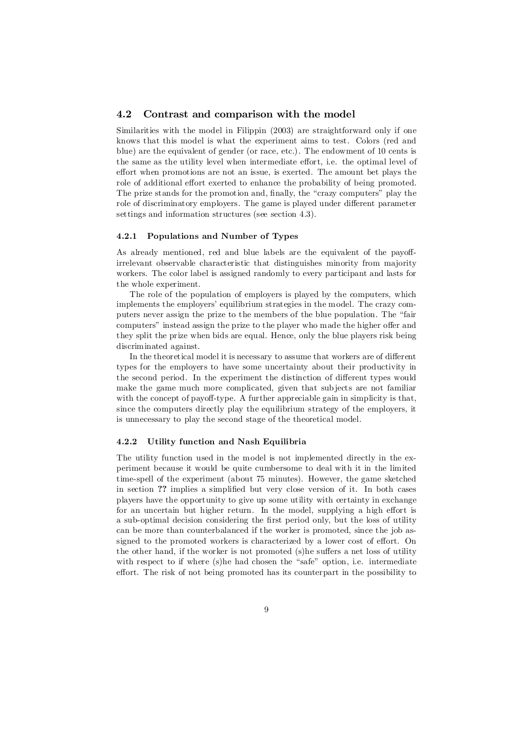#### 4.2 Contrast and comparison with the model

Similarities with the model in Filippin (2003) are straightforward only if one knows that this model is what the experiment aims to test. Colors (red and blue) are the equivalent of gender (or race, etc.). The endowment of 10 cents is the same as the utility level when intermediate effort, i.e. the optimal level of effort when promotions are not an issue, is exerted. The amount bet plays the role of additional effort exerted to enhance the probability of being promoted. The prize stands for the promotion and, finally, the "crazy computers" play the role of discriminatory employers. The game is played under different parameter settings and information structures (see section 4.3).

#### 4.2.1 Populations and Number of Types

As already mentioned, red and blue labels are the equivalent of the payoffirrelevant observable characteristic that distinguishes minority from majority workers. The color label is assigned randomly to every participant and lasts for the whole experiment.

The role of the population of employers is played by the computers, which implements the employers' equilibrium strategies in the model. The crazy computers never assign the prize to the members of the blue population. The "fair computers" instead assign the prize to the player who made the higher offer and they split the prize when bids are equal. Hence, only the blue players risk being discriminated against.

In the theoretical model it is necessary to assume that workers are of different types for the employers to have some uncertainty about their productivity in the second period. In the experiment the distinction of different types would make the game much more complicated, given that subjects are not familiar with the concept of payoff-type. A further appreciable gain in simplicity is that, since the computers directly play the equilibrium strategy of the employers, it is unnecessary to play the second stage of the theoretical model.

#### 4.2.2 Utility function and Nash Equilibria

The utility function used in the model is not implemented directly in the experiment because it would be quite cumbersome to deal with it in the limited time-spell of the experiment (about 75 minutes). However, the game sketched in section ?? implies a simplified but very close version of it. In both cases players have the opportunity to give up some utility with certainty in exchange for an uncertain but higher return. In the model, supplying a high effort is a sub-optimal decision considering the first period only, but the loss of utility can be more than counterbalanced if the worker is promoted, since the job assigned to the promoted workers is characterized by a lower cost of effort. On the other hand, if the worker is not promoted (s)he suffers a net loss of utility with respect to if where (s)he had chosen the "safe" option, i.e. intermediate effort. The risk of not being promoted has its counterpart in the possibility to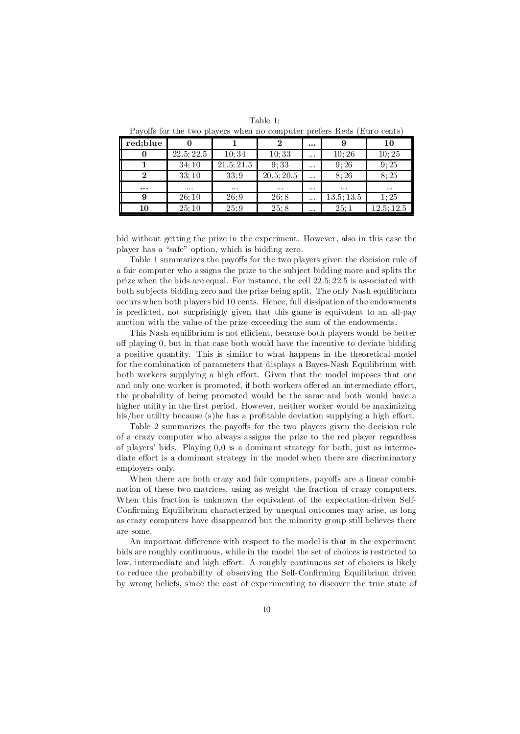Payoffs for the two players when no computer prefers Reds (Euro cents)

| red;blue |                                       |            |            | $\cdots$ |                   | 10        |
|----------|---------------------------------------|------------|------------|----------|-------------------|-----------|
| 0        | $22.\overline{5}$ ; $22.\overline{5}$ | 10;34      | 10;33      |          | 10:26             | 10:25     |
|          | 34;10                                 | 21.5; 21.5 | 9:33       | $\cdots$ | 9:26              | 9:25      |
| $\bf{2}$ | 33:10                                 | 33:9       | 20.5; 20.5 |          | $8;\overline{26}$ | 8:25      |
| $\cdots$ | $\cdots$                              | $\cdots$   | $\cdots$   | $\cdots$ | $\cdots$          | $\cdots$  |
| 9        | 26;10                                 | 26;9       | 26;8       |          | 13.5; 13.5        | 1:25      |
| 10       | 25:10                                 | 25;9       | 25;8       | $\cdots$ | 25;1              | 12.5:12.5 |

bid without getting the prize in the experiment. However, also in this case the player has a "safe" option, which is bidding zero.

Table 1 summarizes the payoffs for the two players given the decision rule of a fair computer who assigns the prize to the subject bidding more and splits the prize when the bids are equal. For instance, the cell 22:5; 22:5 is associated with both subjects bidding zero and the prize being split. The only Nash equilibrium occurs when both players bid 10 cents. Hence, full dissipation of the endowments is predicted, not surprisingly given that this game is equivalent to an all-pay auction with the value of the prize exceeding the sum of the endowments.

This Nash equilibrium is not efficient, because both players would be better off playing  $\theta$ , but in that case both would have the incentive to deviate bidding a positive quantity. This is similar to what happens in the theoretical model for the combination of parameters that displays a Bayes-Nash Equilibrium with both workers supplying a high effort. Given that the model imposes that one and only one worker is promoted, if both workers offered an intermediate effort, the probability of being promoted would be the same and both would have a higher utility in the first period. However, neither worker would be maximizing his/her utility because (s)he has a profitable deviation supplying a high effort.

Table 2 summarizes the payoffs for the two players given the decision rule of a crazy computer who always assigns the prize to the red player regardless of players' bids. Playing 0,0 is a dominant strategy for both, just as intermediate effort is a dominant strategy in the model when there are discriminatory employers only.

When there are both crazy and fair computers, payoffs are a linear combination of these two matrices, using as weight the fraction of crazy computers. When this fraction is unknown the equivalent of the expectation-driven Self-Confirming Equilibrium characterized by unequal outcomes may arise, as long as crazy computers have disappeared but the minority group still believes there are some.

An important difference with respect to the model is that in the experiment bids are roughly continuous, while in the model the set of choices is restricted to low, intermediate and high effort. A roughly continuous set of choices is likely to reduce the probability of observing the Self-Confirming Equilibrium driven by wrong beliefs, since the cost of experimenting to discover the true state of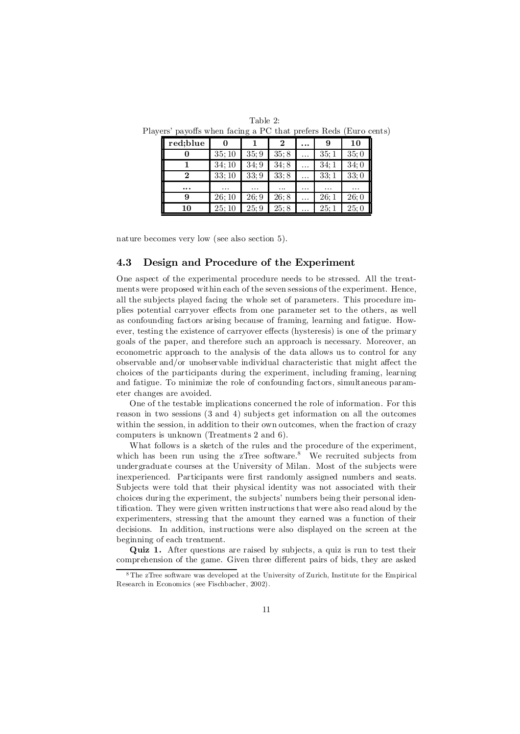| Table 2:                                                         |  |
|------------------------------------------------------------------|--|
| Players' payoffs when facing a PC that prefers Reds (Euro cents) |  |

| red;blue |          |      |           | . |          | 10       |
|----------|----------|------|-----------|---|----------|----------|
|          | 35;10    | 35;9 | 35;8      |   | 35;1     | 35;0     |
|          | 34:10    | 34;9 | 34;8      | . | 34:1     | 34;0     |
| 2        | 33:10    | 33;9 | 33;8      | . | 33:1     | 33;0     |
| $\cdots$ | $\cdots$ | .    | $\ddotsc$ | . | $\cdots$ | $\cdots$ |
| 9        | 26;10    | 26;9 | 26;8      | . | 26;1     | 26:0     |
| 10       | 25:10    | 25:9 | 25:8      |   | 25:1     | 25:0     |

nature becomes very low (see also section 5).

#### 4.3 Design and Procedure of the Experiment

One aspect of the experimental procedure needs to be stressed. All the treatments were proposed within each of the seven sessions of the experiment. Hence, all the subjects played facing the whole set of parameters. This procedure implies potential carryover effects from one parameter set to the others, as well as confounding factors arising because of framing, learning and fatigue. However, testing the existence of carryover effects (hysteresis) is one of the primary goals of the paper, and therefore such an approach is necessary. Moreover, an econometric approach to the analysis of the data allows us to control for any observable and/or unobservable individual characteristic that might affect the choices of the participants during the experiment, including framing, learning and fatigue. To minimize the role of confounding factors, simultaneous parameter changes are avoided.

One of the testable implications concerned the role of information. For this reason in two sessions (3 and 4) subjects get information on all the outcomes within the session, in addition to their own outcomes, when the fraction of crazy computers is unknown (Treatments 2 and 6).

What follows is a sketch of the rules and the procedure of the experiment, which has been run using the zTree software.<sup>8</sup> We recruited subjects from undergraduate courses at the University of Milan. Most of the subjects were inexperienced. Participants were first randomly assigned numbers and seats. Subjects were told that their physical identity was not associated with their choices during the experiment, the subjects' numbers being their personal identification. They were given written instructions that were also read aloud by the experimenters, stressing that the amount they earned was a function of their decisions. In addition, instructions were also displayed on the screen at the beginning of each treatment.

Quiz 1. After questions are raised by subjects, a quiz is run to test their comprehension of the game. Given three different pairs of bids, they are asked

<sup>8</sup> The zTree software was developed at the University of Zurich, Institute for the Empirical Research in Economics (see Fischbacher, 2002).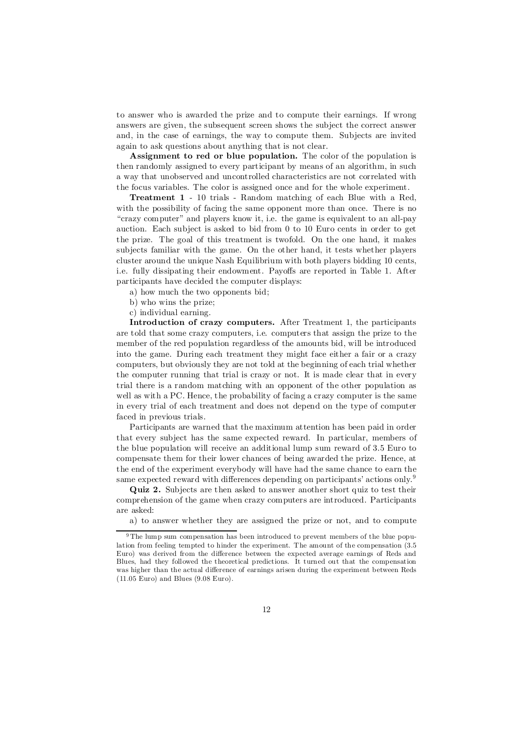to answer who is awarded the prize and to compute their earnings. If wrong answers are given, the subsequent screen shows the subject the correct answer and, in the case of earnings, the way to compute them. Subjects are invited again to ask questions about anything that is not clear.

Assignment to red or blue population. The color of the population is then randomly assigned to every participant by means of an algorithm, in such a way that unobserved and uncontrolled characteristics are not correlated with the focus variables. The color is assigned once and for the whole experiment.

Treatment 1 - 10 trials - Random matching of each Blue with a Red, with the possibility of facing the same opponent more than once. There is no "crazy computer" and players know it, i.e. the game is equivalent to an all-pay auction. Each subject is asked to bid from 0 to 10 Euro cents in order to get the prize. The goal of this treatment is twofold. On the one hand, it makes subjects familiar with the game. On the other hand, it tests whether players cluster around the unique Nash Equilibrium with both players bidding 10 cents, i.e. fully dissipating their endowment. Payoffs are reported in Table 1. After participants have decided the computer displays:

a) how much the two opponents bid;

- b) who wins the prize;
- c) individual earning.

Introduction of crazy computers. After Treatment 1, the participants are told that some crazy computers, i.e. computers that assign the prize to the member of the red population regardless of the amounts bid, will be introduced into the game. During each treatment they might face either a fair or a crazy computers, but obviously they are not told at the beginning of each trial whether the computer running that trial is crazy or not. It is made clear that in every trial there is a random matching with an opponent of the other population as well as with a PC. Hence, the probability of facing a crazy computer is the same in every trial of each treatment and does not depend on the type of computer faced in previous trials.

Participants are warned that the maximum attention has been paid in order that every subject has the same expected reward. In particular, members of the blue population will receive an additional lump sum reward of 3.5 Euro to compensate them for their lower chances of being awarded the prize. Hence, at the end of the experiment everybody will have had the same chance to earn the same expected reward with differences depending on participants' actions only.<sup>9</sup>

Quiz 2. Subjects are then asked to answer another short quiz to test their comprehension of the game when crazy computers are introduced. Participants are asked:

a) to answer whether they are assigned the prize or not, and to compute

<sup>9</sup> The lump sum compensation has been introduced to prevent members of the blue population from feeling tempted to hinder the experiment. The amount of the compensation (3.5 Euro) was derived from the difference between the expected average earnings of Reds and Blues, had they followed the theoretical predictions. It turned out that the compensation was higher than the actual difference of earnings arisen during the experiment between Reds (11.05 Euro) and Blues (9.08 Euro).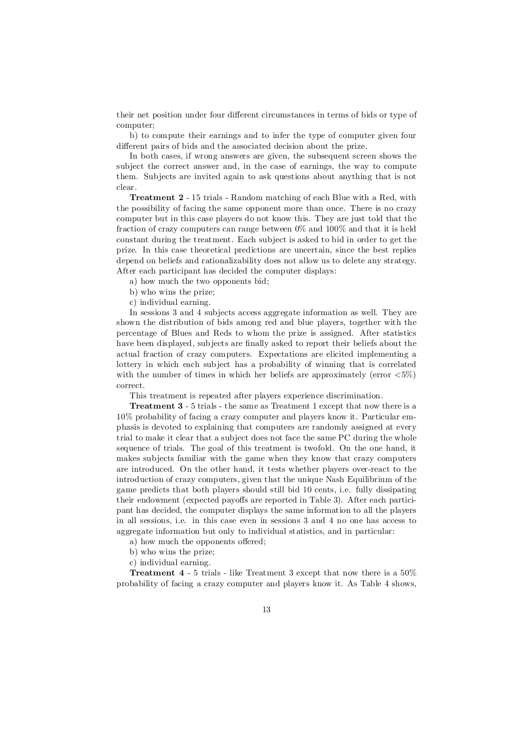their net position under four different circumstances in terms of bids or type of computer;

b) to compute their earnings and to infer the type of computer given four different pairs of bids and the associated decision about the prize.

In both cases, if wrong answers are given, the subsequent screen shows the subject the correct answer and, in the case of earnings, the way to compute them. Subjects are invited again to ask questions about anything that is not clear.

Treatment 2 - 15 trials - Random matching of each Blue with a Red, with the possibility of facing the same opponent more than once. There is no crazy computer but in this case players do not know this. They are just told that the fraction of crazy computers can range between 0% and 100% and that it is held constant during the treatment. Each subject is asked to bid in order to get the prize. In this case theoretical predictions are uncertain, since the best replies depend on beliefs and rationalizability does not allow us to delete any strategy. After each participant has decided the computer displays:

a) how much the two opponents bid;

- b) who wins the prize;
- c) individual earning.

In sessions 3 and 4 subjects access aggregate information as well. They are shown the distribution of bids among red and blue players, together with the percentage of Blues and Reds to whom the prize is assigned. After statistics have been displayed, subjects are finally asked to report their beliefs about the actual fraction of crazy computers. Expectations are elicited implementing a lottery in which each subject has a probability of winning that is correlated with the number of times in which her beliefs are approximately (error  $\langle 5\% \rangle$ ) correct.

This treatment is repeated after players experience discrimination.

Treatment 3 - 5 trials - the same as Treatment 1 except that now there is a 10% probability of facing a crazy computer and players know it. Particular emphasis is devoted to explaining that computers are randomly assigned at every trial to make it clear that a subject does not face the same PC during the whole sequence of trials. The goal of this treatment is twofold. On the one hand, it makes subjects familiar with the game when they know that crazy computers are introduced. On the other hand, it tests whether players over-react to the introduction of crazy computers, given that the unique Nash Equilibrium of the game predicts that both players should still bid 10 cents, i.e. fully dissipating their endowment (expected payoffs are reported in Table 3). After each participant has decided, the computer displays the same information to all the players in all sessions, i.e. in this case even in sessions 3 and 4 no one has access to aggregate information but only to individual statistics, and in particular:

- a) how much the opponents offered;
- b) who wins the prize;
- c) individual earning.

Treatment 4 - 5 trials - like Treatment 3 except that now there is a 50% probability of facing a crazy computer and players know it. As Table 4 shows,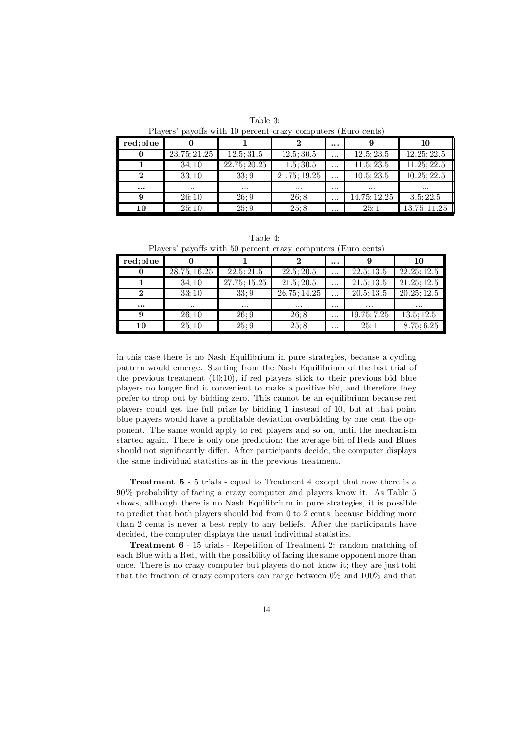Table 3: Players' payoffs with 10 percent crazy computers (Euro cents)

| red:blue |              |              |              | $\cdots$ |              | 10          |  |  |
|----------|--------------|--------------|--------------|----------|--------------|-------------|--|--|
|          | 23.75; 21.25 | 12.5; 31.5   | 12.5; 30.5   | .        | 12.5; 23.5   | 12.25; 22.5 |  |  |
|          | 34:10        | 22.75; 20.25 | 11.5; 30.5   | .        | 11.5; 23.5   | 11.25; 22.5 |  |  |
|          | 33:10        | 33:9         | 21.75; 19.25 | .        | 10.5; 23.5   | 10.25; 22.5 |  |  |
| $\cdots$ | $\cdots$     | $\cdots$     | $\cdots$     | $\cdots$ | $\cdots$     | $\cdots$    |  |  |
|          | 26:10        | 26:9         | 26:8         | .        | 14.75; 12.25 | 3.5; 22.5   |  |  |
| 10       | 25:10        | 25:9         | 25:8         | $\cdots$ | 25:1         | 13.75;11.25 |  |  |

Table 4:

Players' payoffs with 50 percent crazy computers (Euro cents)

| red;blue |                           |                     |              | $\cdots$ |             | 10                      |
|----------|---------------------------|---------------------|--------------|----------|-------------|-------------------------|
| 0        | $28.75; \overline{16.25}$ | 22.5; 21.5          | 22.5; 20.5   | $\cdots$ | 22.5; 13.5  | 22.25; 12.5             |
|          | 34;10                     | 27.75; 15.25        | 21.5; 20.5   | .        | 21.5; 13.5  | 21.25; 12.5             |
|          | 33;10                     | 33:9                | 26.75; 14.25 | .        | 20.5; 13.5  | 20.25; 12.5             |
| $\cdots$ | $\cdots$                  | $\cdot \cdot \cdot$ | $\cdots$     | $\cdots$ | $\cdots$    | $\cdots$                |
| 9        | 26:10                     | 26:9                | 26;8         | $\cdots$ | 19.75; 7.25 | $13.5; 12.\overline{5}$ |
| 10       | 25:10                     | 25:9                | 25:8         | $\cdots$ | 25:1        | 18.75; 6.25             |

in this case there is no Nash Equilibrium in pure strategies, because a cycling pattern would emerge. Starting from the Nash Equilibrium of the last trial of the previous treatment (10;10), if red players stick to their previous bid blue players no longer find it convenient to make a positive bid, and therefore they prefer to drop out by bidding zero. This cannot be an equilibrium because red players could get the full prize by bidding 1 instead of 10, but at that point blue players would have a profitable deviation overbidding by one cent the opponent. The same would apply to red players and so on, until the mechanism started again. There is only one prediction: the average bid of Reds and Blues should not significantly differ. After participants decide, the computer displays the same individual statistics as in the previous treatment.

Treatment 5 - 5 trials - equal to Treatment 4 except that now there is a 90% probability of facing a crazy computer and players know it. As Table 5 shows, although there is no Nash Equilibrium in pure strategies, it is possible to predict that both players should bid from 0 to 2 cents, because bidding more than 2 cents is never a best reply to any beliefs. After the participants have decided, the computer displays the usual individual statistics.

Treatment 6 - 15 trials - Repetition of Treatment 2: random matching of each Blue with a Red, with the possibility of facing the same opponent more than once. There is no crazy computer but players do not know it; they are just told that the fraction of crazy computers can range between 0% and 100% and that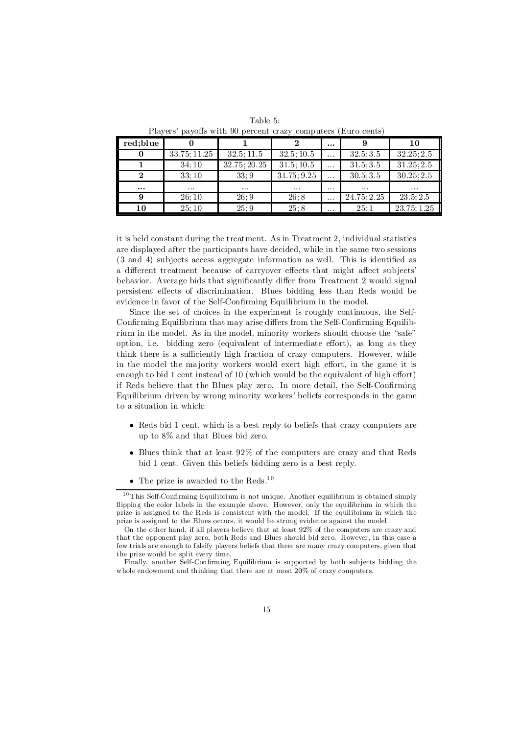| <b>T</b> rayces payons wren so percent crazy computers (Euro cents) |              |                   |             |          |            |             |  |  |
|---------------------------------------------------------------------|--------------|-------------------|-------------|----------|------------|-------------|--|--|
| red;blue                                                            |              |                   |             | $\cdots$ |            | 10          |  |  |
|                                                                     | 33.75; 11.25 | 32.5; 11.5        | 32.5; 10.5  | $\cdots$ | 32.5; 3.5  | 32.25; 2.5  |  |  |
|                                                                     | 34:10        | 32.75; 20.25      | 31.5; 10.5  | .        | 31.5; 3.5  | 31.25; 2.5  |  |  |
|                                                                     | 33:10        | 33:9              | 31.75; 9.25 | .        | 30.5; 3.5  | 30.25; 2.5  |  |  |
| $\cdots$                                                            | $\cdots$     | $\cdot\cdot\cdot$ | $\cdots$    | $\cdots$ | $\cdots$   | $\cdots$    |  |  |
| 9                                                                   | 26:10        | 26:9              | 26:8        | .        | 24.75;2.25 | 23.5; 2.5   |  |  |
| 10                                                                  | 25:10        | 25:9              | 25:8        | $\cdots$ | 25:1       | 23.75; 1.25 |  |  |

Table 5: Players' payoffs with 90 percent crazy computers (Euro cents)

it is held constant during the treatment. As in Treatment 2, individual statistics are displayed after the participants have decided, while in the same two sessions  $(3 \text{ and } 4)$  subjects access aggregate information as well. This is identified as a different treatment because of carryover effects that might affect subjects' behavior. Average bids that significantly differ from Treatment 2 would signal persistent effects of discrimination. Blues bidding less than Reds would be evidence in favor of the Self-Confirming Equilibrium in the model.

Since the set of choices in the experiment is roughly continuous, the Self-Confirming Equilibrium that may arise differs from the Self-Confirming Equilibrium in the model. As in the model, minority workers should choose the "safe" option, i.e. bidding zero (equivalent of intermediate effort), as long as they think there is a sufficiently high fraction of crazy computers. However, while in the model the majority workers would exert high effort, in the game it is enough to bid 1 cent instead of 10 (which would be the equivalent of high effort) if Reds believe that the Blues play zero. In more detail, the Self-Confirming Equilibrium driven by wrong minority workers' beliefs corresponds in the game to a situation in which:

- Reds bid 1 cent, which is a best reply to beliefs that crazy computers are up to 8% and that Blues bid zero.
- $\bullet$  Blues think that at least 92% of the computers are crazy and that Reds bid 1 cent. Given this beliefs bidding zero is a best reply.
- The prize is awarded to the Reds.<sup>10</sup>

 $10$  This Self-Confirming Equilibrium is not unique. Another equilibrium is obtained simply ‡ipping the color labels in the example above. However, only the equilibrium in which the prize is assigned to the Reds is consistent with the model. If the equilibrium in which the prize is assigned to the Blues occurs, it would be strong evidence against the model.

On the other hand, if all players believe that at least 92% of the computers are crazy and that the opponent play zero, both Reds and Blues should bid zero. However, in this case a few trials are enough to falsify players beliefs that there are many crazy computers, given that the prize would be split every time.

Finally, another Self-Confirming Equilibrium is supported by both subjects bidding the whole endowment and thinking that there are at most 20% of crazy computers.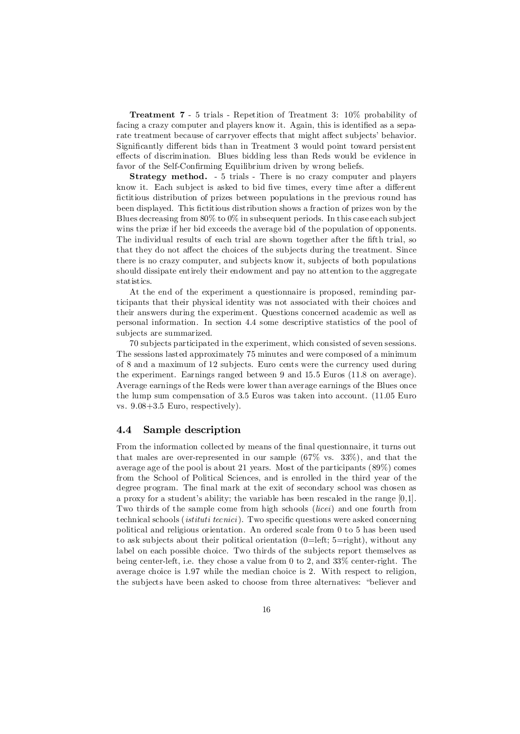Treatment 7 - 5 trials - Repetition of Treatment 3: 10% probability of facing a crazy computer and players know it. Again, this is identified as a separate treatment because of carryover effects that might affect subjects' behavior. Significantly different bids than in Treatment 3 would point toward persistent effects of discrimination. Blues bidding less than Reds would be evidence in favor of the Self-Confirming Equilibrium driven by wrong beliefs.

Strategy method. - 5 trials - There is no crazy computer and players know it. Each subject is asked to bid five times, every time after a different fictitious distribution of prizes between populations in the previous round has been displayed. This fictitious distribution shows a fraction of prizes won by the Blues decreasing from 80% to 0% in subsequent periods. In this case each subject wins the prize if her bid exceeds the average bid of the population of opponents. The individual results of each trial are shown together after the fifth trial, so that they do not affect the choices of the subjects during the treatment. Since there is no crazy computer, and subjects know it, subjects of both populations should dissipate entirely their endowment and pay no attention to the aggregate statistics.

At the end of the experiment a questionnaire is proposed, reminding participants that their physical identity was not associated with their choices and their answers during the experiment. Questions concerned academic as well as personal information. In section 4.4 some descriptive statistics of the pool of subjects are summarized.

70 subjects participated in the experiment, which consisted of seven sessions. The sessions lasted approximately 75 minutes and were composed of a minimum of 8 and a maximum of 12 subjects. Euro cents were the currency used during the experiment. Earnings ranged between 9 and 15.5 Euros (11.8 on average). Average earnings of the Reds were lower than average earnings of the Blues once the lump sum compensation of 3.5 Euros was taken into account. (11.05 Euro vs. 9.08+3.5 Euro, respectively).

#### 4.4 Sample description

From the information collected by means of the final questionnaire, it turns out that males are over-represented in our sample (67% vs. 33%), and that the average age of the pool is about 21 years. Most of the participants (89%) comes from the School of Political Sciences, and is enrolled in the third year of the degree program. The final mark at the exit of secondary school was chosen as a proxy for a student's ability; the variable has been rescaled in the range [0,1]. Two thirds of the sample come from high schools (licei) and one fourth from technical schools (*istituti tecnici*). Two specific questions were asked concerning political and religious orientation. An ordered scale from 0 to 5 has been used to ask subjects about their political orientation  $(0=left; 5=right)$ , without any label on each possible choice. Two thirds of the subjects report themselves as being center-left, i.e. they chose a value from 0 to 2, and 33% center-right. The average choice is 1.97 while the median choice is 2. With respect to religion, the subjects have been asked to choose from three alternatives: "believer and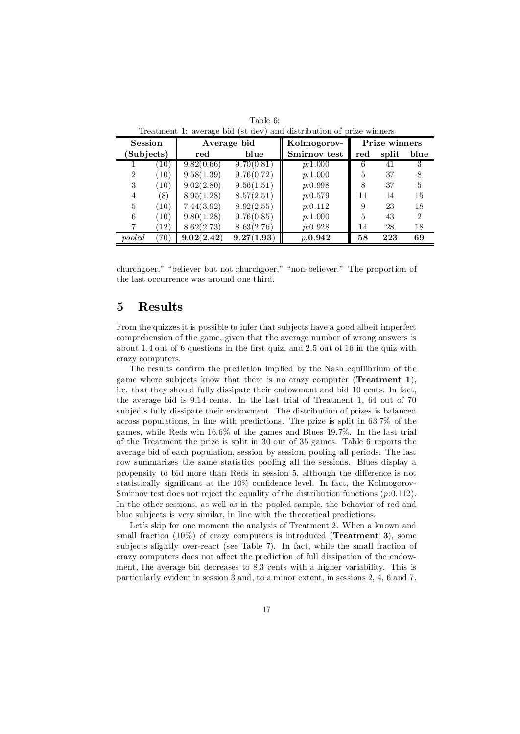|                | rreading it average plans about about badon or prize whiners |            |             |              |               |       |                             |  |
|----------------|--------------------------------------------------------------|------------|-------------|--------------|---------------|-------|-----------------------------|--|
| <b>Session</b> |                                                              |            | Average bid | Kolmogorov-  | Prize winners |       |                             |  |
| Subjects)      |                                                              | red        | blue        | Smirnov test | red           | split | blue                        |  |
|                | (10)                                                         | 9.82(0.66) | 9.70(0.81)  | p:1.000      | 6             | 41    |                             |  |
| $\overline{2}$ | (10)                                                         | 9.58(1.39) | 9.76(0.72)  | p:1.000      | 5             | 37    |                             |  |
| 3              | (10)                                                         | 9.02(2.80) | 9.56(1.51)  | p:0.998      | 8             | 37    | 5                           |  |
| 4              | (8)                                                          | 8.95(1.28) | 8.57(2.51)  | p:0.579      | 11            | 14    | 15                          |  |
| 5              | (10)                                                         | 7.44(3.92) | 8.92(2.55)  | p:0.112      | 9             | 23    | 18                          |  |
| 6              | (10)                                                         | 9.80(1.28) | 9.76(0.85)  | p:1.000      | 5             | 43    | $\mathcal{D}_{\mathcal{L}}$ |  |
|                | 12)                                                          | 8.62(2.73) | 8.63(2.76)  | p:0.928      | 14            | 28    | 18                          |  |
| pooled         | 70)                                                          | 9.02(2.42) | 9.27(1.93)  | p:0.942      | 58            | 223   | 69                          |  |

Table 6: Treatment 1: average bid (st dev) and distribution of prize winners

churchgoer," "believer but not churchgoer," "non-believer." The proportion of the last occurrence was around one third.

#### 5 Results

From the quizzes it is possible to infer that subjects have a good albeit imperfect comprehension of the game, given that the average number of wrong answers is about 1.4 out of 6 questions in the first quiz, and 2.5 out of 16 in the quiz with crazy computers.

The results confirm the prediction implied by the Nash equilibrium of the game where subjects know that there is no crazy computer (Treatment 1), i.e. that they should fully dissipate their endowment and bid 10 cents. In fact, the average bid is 9.14 cents. In the last trial of Treatment 1, 64 out of 70 subjects fully dissipate their endowment. The distribution of prizes is balanced across populations, in line with predictions. The prize is split in 63.7% of the games, while Reds win 16.6% of the games and Blues 19.7%. In the last trial of the Treatment the prize is split in 30 out of 35 games. Table 6 reports the average bid of each population, session by session, pooling all periods. The last row summarizes the same statistics pooling all the sessions. Blues display a propensity to bid more than Reds in session 5, although the difference is not statistically significant at the  $10\%$  confidence level. In fact, the Kolmogorov-Smirnov test does not reject the equality of the distribution functions  $(p:0.112)$ . In the other sessions, as well as in the pooled sample, the behavior of red and blue subjects is very similar, in line with the theoretical predictions.

Let's skip for one moment the analysis of Treatment 2. When a known and small fraction  $(10\%)$  of crazy computers is introduced (**Treatment 3**), some subjects slightly over-react (see Table 7). In fact, while the small fraction of crazy computers does not affect the prediction of full dissipation of the endowment, the average bid decreases to 8.3 cents with a higher variability. This is particularly evident in session 3 and, to a minor extent, in sessions 2, 4, 6 and 7.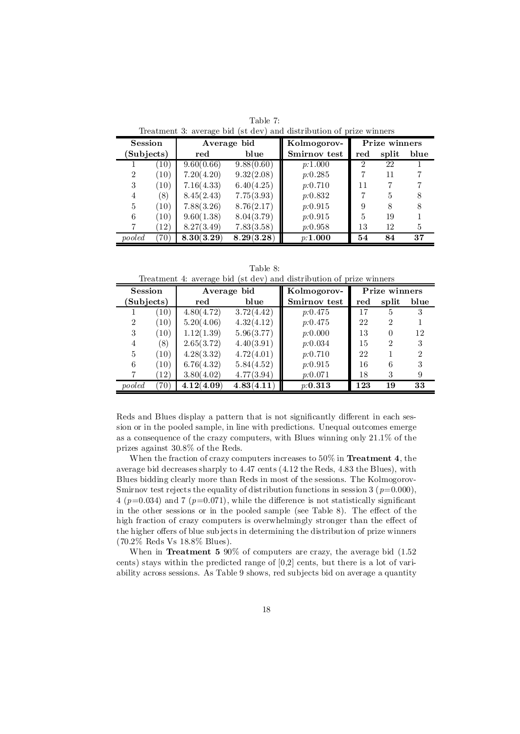| $\frac{1}{2}$  | <b>Session</b><br>Average bid |            | Kolmogorov- |              | Prize winners  |       |      |
|----------------|-------------------------------|------------|-------------|--------------|----------------|-------|------|
| Subjects)      |                               | red        | blue        | Smirnov test | $_{\rm red}$   | split | blue |
|                | $\left(10\right)$             | 9.60(0.66) | 9.88(0.60)  | p:1.000      | $\overline{2}$ | 22    |      |
| $\overline{2}$ | (10)                          | 7.20(4.20) | 9.32(2.08)  | p:0.285      |                | 11    |      |
| 3              | (10)                          | 7.16(4.33) | 6.40(4.25)  | p:0.710      | 11             |       |      |
| 4              | $\left(8\right)$              | 8.45(2.43) | 7.75(3.93)  | p:0.832      |                | 5     |      |
| 5              | (10)                          | 7.88(3.26) | 8.76(2.17)  | p:0.915      | 9              | 8     |      |
| 6              | (10)                          | 9.60(1.38) | 8.04(3.79)  | p:0.915      | $\overline{5}$ | 19    |      |
|                | (12)                          | 8.27(3.49) | 7.83(3.58)  | p:0.958      | 13             | 12    | 5    |
| pooled         | 70)                           | 8.30(3.29) | 8.29(3.28)  | p:1.000      | 54             | 84    | 37   |

Table 7: Treatment 3: average bid (st dev) and distribution of prize winners

Table 8: Treatment 4: average bid (st dev) and distribution of prize winners

| <b>Session</b> |                   | Average bid |            | Kolmogorov-  |     | Prize winners |                |
|----------------|-------------------|-------------|------------|--------------|-----|---------------|----------------|
| Subjects)      |                   | red         | blue       | Smirnov test | red | split         | blue           |
|                | $\left(10\right)$ | 4.80(4.72)  | 3.72(4.42) | p:0.475      | 17  | 5             | 3              |
| $\overline{2}$ | (10)              | 5.20(4.06)  | 4.32(4.12) | p:0.475      | 22  | 2             |                |
| 3              | (10)              | 1.12(1.39)  | 5.96(3.77) | p:0.000      | 13  | $\theta$      | 12             |
| 4              | (8)               | 2.65(3.72)  | 4.40(3.91) | p:0.034      | 15  | $\mathcal{D}$ | 3              |
| 5              | (10)              | 4.28(3.32)  | 4.72(4.01) | p:0.710      | 22  |               | $\mathfrak{D}$ |
| 6              | (10)              | 6.76(4.32)  | 5.84(4.52) | p:0.915      | 16  | 6             | 3              |
|                | (12)              | 3.80(4.02)  | 4.77(3.94) | p:0.071      | 18  | 3             | 9              |
| pooled         | 70)               | 4.12(4.09)  | 4.83(4.11) | p: 0.313     | 123 | 19            | 33             |

Reds and Blues display a pattern that is not significantly different in each session or in the pooled sample, in line with predictions. Unequal outcomes emerge as a consequence of the crazy computers, with Blues winning only 21.1% of the prizes against 30.8% of the Reds.

When the fraction of crazy computers increases to 50% in Treatment 4, the average bid decreases sharply to 4.47 cents (4.12 the Reds, 4.83 the Blues), with Blues bidding clearly more than Reds in most of the sessions. The Kolmogorov-Smirnov test rejects the equality of distribution functions in session 3 ( $p=0.000$ ), 4 ( $p=0.034$ ) and 7 ( $p=0.071$ ), while the difference is not statistically significant in the other sessions or in the pooled sample (see Table 8). The effect of the high fraction of crazy computers is overwhelmingly stronger than the effect of the higher offers of blue subjects in determining the distribution of prize winners (70.2% Reds Vs 18.8% Blues).

When in Treatment 5  $90\%$  of computers are crazy, the average bid  $(1.52)$ cents) stays within the predicted range of [0,2] cents, but there is a lot of variability across sessions. As Table 9 shows, red subjects bid on average a quantity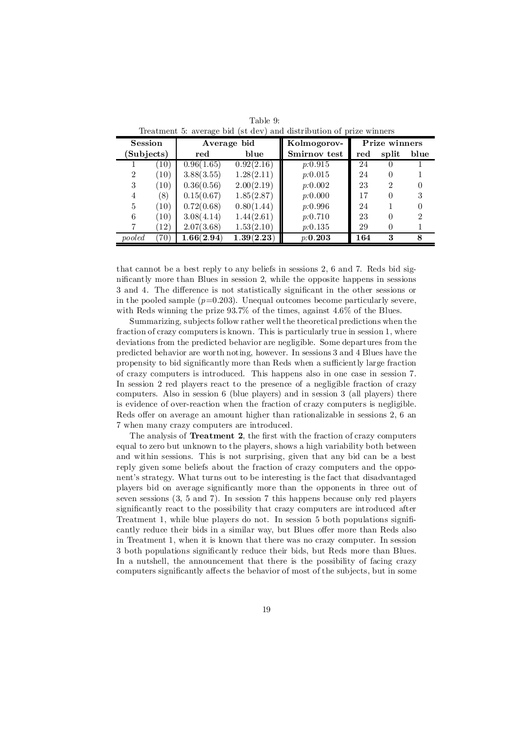| Session        | Average bid |            | Kolmogorov- |              | Prize winners |          |      |
|----------------|-------------|------------|-------------|--------------|---------------|----------|------|
| (Subjects)     |             | red        | blue        | Smirnov test | red           | split    | blue |
|                | (10)        | 0.96(1.65) | 0.92(2.16)  | p:0.915      | 24            |          |      |
| $\overline{2}$ | (10)        | 3.88(3.55) | 1.28(2.11)  | p:0.015      | 24            | $\Omega$ |      |
| 3              | (10)        | 0.36(0.56) | 2.00(2.19)  | p:0.002      | 23            | 2        |      |
| 4              | (8)         | 0.15(0.67) | 1.85(2.87)  | p:0.000      | 17            |          |      |
| 5              | (10)        | 0.72(0.68) | 0.80(1.44)  | p:0.996      | 24            |          |      |
| 6              | (10)        | 3.08(4.14) | 1.44(2.61)  | p:0.710      | 23            |          |      |
|                | (12)        | 2.07(3.68) | 1.53(2.10)  | p:0.135      | 29            |          |      |
| pooled         | 70)         | 1.66(2.94) | 1.39(2.23)  | p:0.203      | 164           | 3        | 8    |

Table 9: Treatment 5: average bid (st dev) and distribution of prize winners

that cannot be a best reply to any beliefs in sessions 2, 6 and 7. Reds bid significantly more than Blues in session 2, while the opposite happens in sessions 3 and 4. The difference is not statistically significant in the other sessions or in the pooled sample  $(p=0.203)$ . Unequal outcomes become particularly severe, with Reds winning the prize 93.7% of the times, against 4.6% of the Blues.

Summarizing, subjects follow rather wellthe theoretical predictions when the fraction of crazy computers is known. This is particularly true in session 1, where deviations from the predicted behavior are negligible. Some departures from the predicted behavior are worth noting, however. In sessions 3 and 4 Blues have the propensity to bid significantly more than Reds when a sufficiently large fraction of crazy computers is introduced. This happens also in one case in session 7. In session 2 red players react to the presence of a negligible fraction of crazy computers. Also in session 6 (blue players) and in session 3 (all players) there is evidence of over-reaction when the fraction of crazy computers is negligible. Reds offer on average an amount higher than rationalizable in sessions 2, 6 and 7 when many crazy computers are introduced.

The analysis of **Treatment 2**, the first with the fraction of crazy computers equal to zero but unknown to the players, shows a high variability both between and within sessions. This is not surprising, given that any bid can be a best reply given some beliefs about the fraction of crazy computers and the opponent's strategy. What turns out to be interesting is the fact that disadvantaged players bid on average significantly more than the opponents in three out of seven sessions (3, 5 and 7). In session 7 this happens because only red players significantly react to the possibility that crazy computers are introduced after Treatment 1, while blue players do not. In session 5 both populations significantly reduce their bids in a similar way, but Blues offer more than Reds also in Treatment 1, when it is known that there was no crazy computer. In session 3 both populations significantly reduce their bids, but Reds more than Blues. In a nutshell, the announcement that there is the possibility of facing crazy computers significantly affects the behavior of most of the subjects, but in some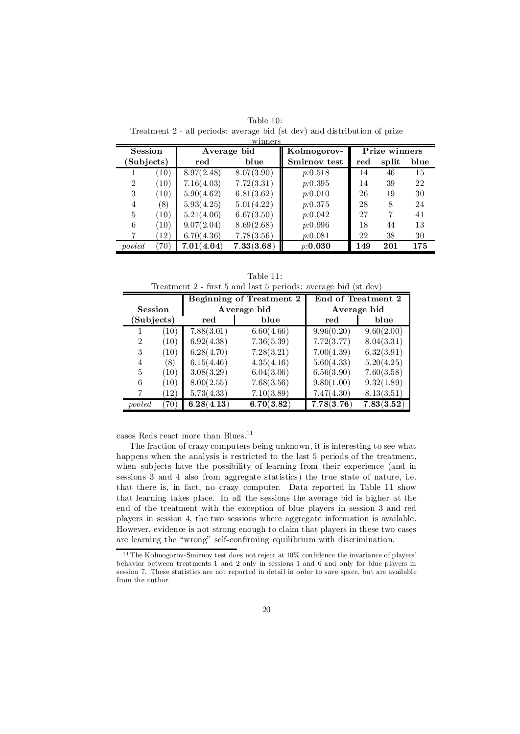|                | winners           |            |             |              |     |               |      |  |  |  |
|----------------|-------------------|------------|-------------|--------------|-----|---------------|------|--|--|--|
| <b>Session</b> |                   |            | Average bid | Kolmogorov-  |     | Prize winners |      |  |  |  |
| (Subjects)     |                   | red        | blue        | Smirnov test | red | split         | blue |  |  |  |
|                | (10)              | 8.97(2.48) | 8.07(3.90)  | p:0.518      | 14  | 46            | 15   |  |  |  |
| $\overline{2}$ | (10)              | 7.16(4.03) | 7.72(3.31)  | p:0.395      | 14  | 39            | 22   |  |  |  |
| 3              | (10)              | 5.90(4.62) | 6.81(3.62)  | p:0.010      | 26  | 19            | 30   |  |  |  |
| 4              | (8)               | 5.93(4.25) | 5.01(4.22)  | p:0.375      | 28  | 8             | 24   |  |  |  |
| 5              | (10)              | 5.21(4.06) | 6.67(3.50)  | p:0.042      | 27  | 7             | 41   |  |  |  |
| 6              | (10)              | 9.07(2.04) | 8.69(2.68)  | p:0.996      | 18  | 44            | 13   |  |  |  |
| 7              | $\left(12\right)$ | 6.70(4.36) | 7.78(3.56)  | p:0.081      | 22  | 38            | 30   |  |  |  |
| pooled         | 70)               | 7.01(4.04) | 7.33(3.68)  | p:0.030      | 149 | 201           | 175  |  |  |  |

Table 10: Treatment 2 - all periods: average bid (st dev) and distribution of prize

Table 11: Treatment 2 - first 5 and last 5 periods: average bid (st dev)

|                |      | <b>Beginning of Treatment 2</b> |             |             | End of Treatment 2 |  |
|----------------|------|---------------------------------|-------------|-------------|--------------------|--|
| Session        |      |                                 | Average bid | Average bid |                    |  |
| (Subjects)     |      | red                             | blue        | red         | blue               |  |
|                | (10) | 7.88(3.01)                      | 6.60(4.66)  | 9.96(0.20)  | 9.60(2.00)         |  |
| $\overline{2}$ | (10) | 6.92(4.38)                      | 7.36(5.39)  | 7.72(3.77)  | 8.04(3.31)         |  |
| 3              | (10) | 6.28(4.70)                      | 7.28(3.21)  | 7.00(4.39)  | 6.32(3.91)         |  |
| $\overline{4}$ | (8)  | 6.15(4.46)                      | 4.35(4.16)  | 5.60(4.33)  | 5.20(4.25)         |  |
| 5              | (10) | 3.08(3.29)                      | 6.04(3.06)  | 6.56(3.90)  | 7.60(3.58)         |  |
| 6              | (10) | 8.00(2.55)                      | 7.68(3.56)  | 9.80(1.00)  | 9.32(1.89)         |  |
|                | (12) | 5.73(4.33)                      | 7.10(3.89)  | 7.47(4.30)  | 8.13(3.51)         |  |
| pooled         | 70`  | 6.28(4.13)                      | 6.70(3.82)  | 7.78(3.76)  | 7.83(3.52)         |  |

cases Reds react more than Blues.<sup>11</sup>

The fraction of crazy computers being unknown, it is interesting to see what happens when the analysis is restricted to the last 5 periods of the treatment, when subjects have the possibility of learning from their experience (and in sessions 3 and 4 also from aggregate statistics) the true state of nature, i.e. that there is, in fact, no crazy computer. Data reported in Table 11 show that learning takes place. In all the sessions the average bid is higher at the end of the treatment with the exception of blue players in session 3 and red players in session 4, the two sessions where aggregate information is available. However, evidence is not strong enough to claim that players in these two cases are learning the "wrong" self-confirming equilibrium with discrimination.

 $11$  The Kolmogorov-Smirnov test does not reject at  $10\%$  confidence the invariance of players' behavior between treatments 1 and 2 only in sessions 1 and 6 and only for blue players in session 7. These statistics are not reported in detail in order to save space, but are available from the author.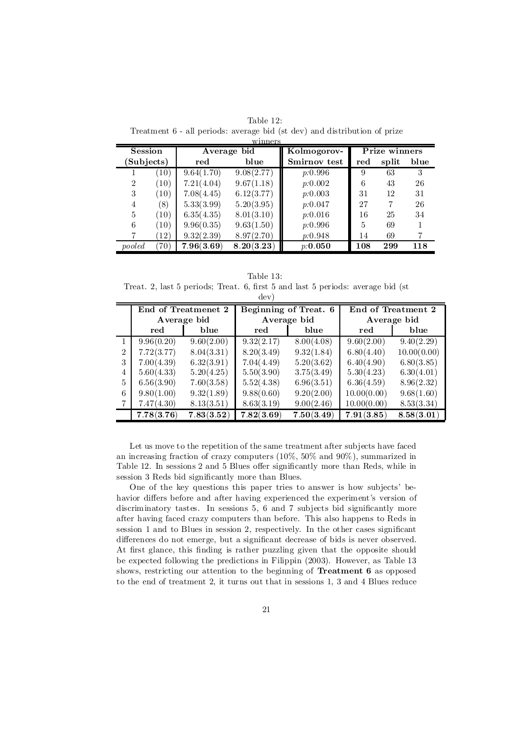| <b>Session</b> |                    | WHITELS<br>Average $b\overline{id}$ |            | Kolmogorov-  | Prize winners  |       |      |
|----------------|--------------------|-------------------------------------|------------|--------------|----------------|-------|------|
| Subjects)      |                    | red                                 | blue       | Smirnov test | red            | split | blue |
|                | (10)               | 9.64(1.70)                          | 9.08(2.77) | p:0.996      | 9              | 63    | 3    |
| $\overline{2}$ | (10)               | 7.21(4.04)                          | 9.67(1.18) | p:0.002      | 6              | 43    | 26   |
| 3              | (10)               | 7.08(4.45)                          | 6.12(3.77) | p:0.003      | 31             | 12    | 31   |
| 4              | $\left(8\right)$   | 5.33(3.99)                          | 5.20(3.95) | p:0.047      | 27             | 7     | 26   |
| 5              | (10)               | 6.35(4.35)                          | 8.01(3.10) | p:0.016      | 16             | 25    | 34   |
| 6              | (10)               | 9.96(0.35)                          | 9.63(1.50) | p:0.996      | $\overline{5}$ | 69    |      |
|                | $\left( 12\right)$ | 9.32(2.39)                          | 8.97(2.70) | p:0.948      | 14             | 69    |      |
| pooled         | $^{\prime}70)$     | 7.96(3.69)                          | 8.20(3.23) | p:0.050      | 108            | 299   | 118  |

Table 12: Treatment 6 - all periods: average bid (st dev) and distribution of prize –<br>minner

Table 13: Treat. 2, last 5 periods; Treat. 6, first 5 and last 5 periods: average bid (st dev)

|                | End of Treatmenet 2 |            | Beginning of Treat. 6 |            | End of Treatment 2 |             |
|----------------|---------------------|------------|-----------------------|------------|--------------------|-------------|
|                | Average bid         |            | Average bid           |            | Average bid        |             |
|                | red                 | blue       | red                   | blue       | red                | blue        |
|                | 9.96(0.20)          | 9.60(2.00) | 9.32(2.17)            | 8.00(4.08) | 9.60(2.00)         | 9.40(2.29)  |
| $\mathfrak{D}$ | 7.72(3.77)          | 8.04(3.31) | 8.20(3.49)            | 9.32(1.84) | 6.80(4.40)         | 10.00(0.00) |
|                | 7.00(4.39)          | 6.32(3.91) | 7.04(4.49)            | 5.20(3.62) | 6.40(4.90)         | 6.80(3.85)  |
| 4              | 5.60(4.33)          | 5.20(4.25) | 5.50(3.90)            | 3.75(3.49) | 5.30(4.23)         | 6.30(4.01)  |
| 5              | 6.56(3.90)          | 7.60(3.58) | 5.52(4.38)            | 6.96(3.51) | 6.36(4.59)         | 8.96(2.32)  |
| 6              | 9.80(1.00)          | 9.32(1.89) | 9.88(0.60)            | 9.20(2.00) | 10.00(0.00)        | 9.68(1.60)  |
|                | 7.47(4.30)          | 8.13(3.51) | 8.63(3.19)            | 9.00(2.46) | 10.00(0.00)        | 8.53(3.34)  |
|                | 7.78(3.76)          | 7.83(3.52) | 7.82(3.69)            | 7.50(3.49) | 7.91(3.85)         | 8.58(3.01)  |

Let us move to the repetition of the same treatment after subjects have faced an increasing fraction of crazy computers (10%, 50% and 90%), summarized in Table 12. In sessions 2 and 5 Blues offer significantly more than Reds, while in session 3 Reds bid significantly more than Blues.

One of the key questions this paper tries to answer is how subjects' behavior differs before and after having experienced the experiment's version of discriminatory tastes. In sessions  $5, 6$  and  $7$  subjects bid significantly more after having faced crazy computers than before. This also happens to Reds in session 1 and to Blues in session 2, respectively. In the other cases significant differences do not emerge, but a significant decrease of bids is never observed. At first glance, this finding is rather puzzling given that the opposite should be expected following the predictions in Filippin (2003). However, as Table 13 shows, restricting our attention to the beginning of Treatment 6 as opposed to the end of treatment 2, it turns out that in sessions 1, 3 and 4 Blues reduce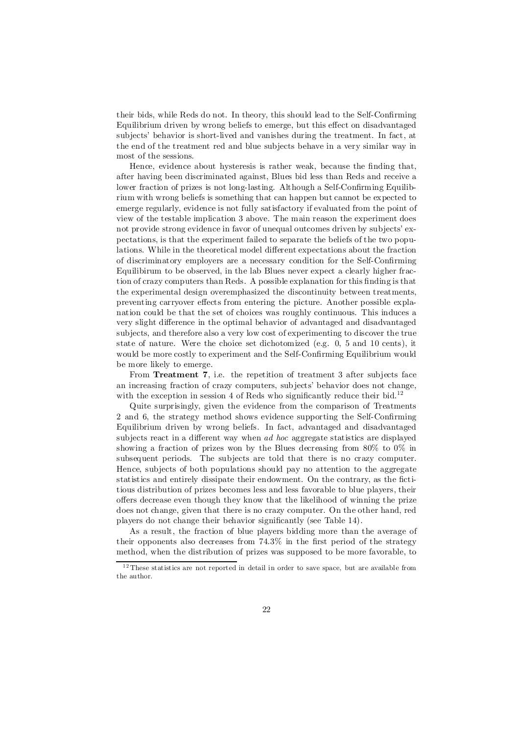their bids, while Reds do not. In theory, this should lead to the Self-Confirming Equilibrium driven by wrong beliefs to emerge, but this effect on disadvantaged subjects' behavior is short-lived and vanishes during the treatment. In fact, at the end of the treatment red and blue subjects behave in a very similar way in most of the sessions.

Hence, evidence about hysteresis is rather weak, because the finding that, after having been discriminated against, Blues bid less than Reds and receive a lower fraction of prizes is not long-lasting. Although a Self-Confirming Equilibrium with wrong beliefs is something that can happen but cannot be expected to emerge regularly, evidence is not fully satisfactory if evaluated from the point of view of the testable implication 3 above. The main reason the experiment does not provide strong evidence in favor of unequal outcomes driven by subjects' expectations, is that the experiment failed to separate the beliefs of the two populations. While in the theoretical model different expectations about the fraction of discriminatory employers are a necessary condition for the Self-Confirming Equilibirum to be observed, in the lab Blues never expect a clearly higher fraction of crazy computers than Reds. A possible explanation for this finding is that the experimental design overemphasized the discontinuity between treatments, preventing carryover effects from entering the picture. Another possible explanation could be that the set of choices was roughly continuous. This induces a very slight difference in the optimal behavior of advantaged and disadvantaged subjects, and therefore also a very low cost of experimenting to discover the true state of nature. Were the choice set dichotomized (e.g. 0, 5 and 10 cents), it would be more costly to experiment and the Self-Confirming Equilibrium would be more likely to emerge.

From Treatment 7, i.e. the repetition of treatment 3 after subjects face an increasing fraction of crazy computers, subjects' behavior does not change, with the exception in session 4 of Reds who significantly reduce their bid.<sup>12</sup>

Quite surprisingly, given the evidence from the comparison of Treatments  $2$  and  $6$ , the strategy method shows evidence supporting the Self-Confirming Equilibrium driven by wrong beliefs. In fact, advantaged and disadvantaged subjects react in a different way when *ad hoc* aggregate statistics are displayed showing a fraction of prizes won by the Blues decreasing from 80% to 0% in subsequent periods. The subjects are told that there is no crazy computer. Hence, subjects of both populations should pay no attention to the aggregate statistics and entirely dissipate their endowment. On the contrary, as the fictitious distribution of prizes becomes less and less favorable to blue players, their offers decrease even though they know that the likelihood of winning the prize does not change, given that there is no crazy computer. On the other hand, red players do not change their behavior significantly (see Table 14).

As a result, the fraction of blue players bidding more than the average of their opponents also decreases from  $74.3\%$  in the first period of the strategy method, when the distribution of prizes was supposed to be more favorable, to

<sup>&</sup>lt;sup>12</sup> These statistics are not reported in detail in order to save space, but are available from the author.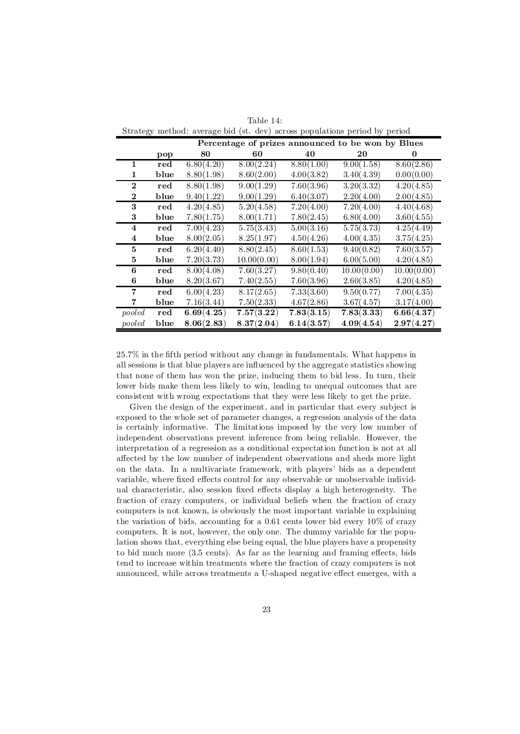| Table 14:                                                                  |  |  |  |  |  |  |
|----------------------------------------------------------------------------|--|--|--|--|--|--|
| Strategy method: average bid (st. dev) across populations period by period |  |  |  |  |  |  |

|              |              | Percentage of prizes announced to be won by Blues |             |            |             |             |
|--------------|--------------|---------------------------------------------------|-------------|------------|-------------|-------------|
|              | pop          | 80                                                | 60          | 40         | 20          | 0           |
| $\mathbf{1}$ | $_{\rm red}$ | 6.80(4.20)                                        | 8.00(2.24)  | 8.80(1.00) | 9.00(1.58)  | 8.60(2.86)  |
| 1            | blue         | 8.80(1.98)                                        | 8.60(2.00)  | 4.00(3.82) | 3.40(4.39)  | 0.00(0.00)  |
| $\bf{2}$     | $_{\rm red}$ | 8.80(1.98)                                        | 9.00(1.29)  | 7.60(3.96) | 3.20(3.32)  | 4.20(4.85)  |
| $\bf{2}$     | blue         | 9.40(1.22)                                        | 9.00(1.29)  | 6.40(3.07) | 2.20(4.00)  | 2.00(4.85)  |
| 3            | $_{\rm red}$ | 4.20(4.85)                                        | 5.20(4.58)  | 7.20(4.00) | 7.20(4.00)  | 4.40(4.68)  |
| 3            | blue         | 7.80(1.75)                                        | 8.00(1.71)  | 7.80(2.45) | 6.80(4.00)  | 3.60(4.55)  |
| 4            | red          | 7.00(4.23)                                        | 5.75(3.43)  | 5.00(3.16) | 5.75(3.73)  | 4.25(4.49)  |
| 4            | blue         | 8.00(2.05)                                        | 8.25(1.97)  | 4.50(4.26) | 4.00(4.35)  | 3.75(4.25)  |
| 5            | $_{\rm red}$ | 6.20(4.40)                                        | 8.80(2.45)  | 8.60(1.53) | 9.40(0.82)  | 7.60(3.57)  |
| 5            | blue         | 7.20(3.73)                                        | 10.00(0.00) | 8.00(1.94) | 6.00(5.00)  | 4.20(4.85)  |
| 6            | $_{\rm red}$ | 8.00(4.08)                                        | 7.60(3.27)  | 9.80(0.40) | 10.00(0.00) | 10.00(0.00) |
| 6            | blue         | 8.20(3.67)                                        | 7.40(2.55)  | 7.60(3.96) | 2.60(3.85)  | 4.20(4.85)  |
| 7            | $_{\rm red}$ | 6.00(4.23)                                        | 8.17(2.65)  | 7.33(3.60) | 9.50(0.77)  | 7.00(4.35)  |
| 7            | blue         | 7.16(3.44)                                        | 7.50(2.33)  | 4.67(2.86) | 3.67(4.57)  | 3.17(4.00)  |
| pooled       | $_{\rm red}$ | 6.69(4.25)                                        | 7.57(3.22)  | 7.83(3.15) | 7.83(3.33)  | 6.66(4.37)  |
| pooled       | blue         | 8.06(2.83)                                        | 8.37(2.04)  | 6.14(3.57) | 4.09(4.54)  | 2.97(4.27)  |

 $25.7\%$  in the fifth period without any change in fundamentals. What happens in all sessions is that blue players are influenced by the aggregate statistics showing that none of them has won the prize, inducing them to bid less. In turn, their lower bids make them less likely to win, leading to unequal outcomes that are consistent with wrong expectations that they were less likely to get the prize.

Given the design of the experiment, and in particular that every subject is exposed to the whole set of parameter changes, a regression analysis of the data is certainly informative. The limitations imposed by the very low number of independent observations prevent inference from being reliable. However, the interpretation of a regression as a conditional expectation function is not at all affected by the low number of independent observations and sheds more light on the data. In a multivariate framework, with players' bids as a dependent variable, where fixed effects control for any observable or unobservable individual characteristic, also session fixed effects display a high heterogeneity. The fraction of crazy computers, or individual beliefs when the fraction of crazy computers is not known, is obviously the most important variable in explaining the variation of bids, accounting for a 0.61 cents lower bid every 10% of crazy computers. It is not, however, the only one. The dummy variable for the population shows that, everything else being equal, the blue players have a propensity to bid much more  $(3.5 \text{ cents})$ . As far as the learning and framing effects, bids tend to increase within treatments where the fraction of crazy computers is not announced, while across treatments a U-shaped negative effect emerges, with a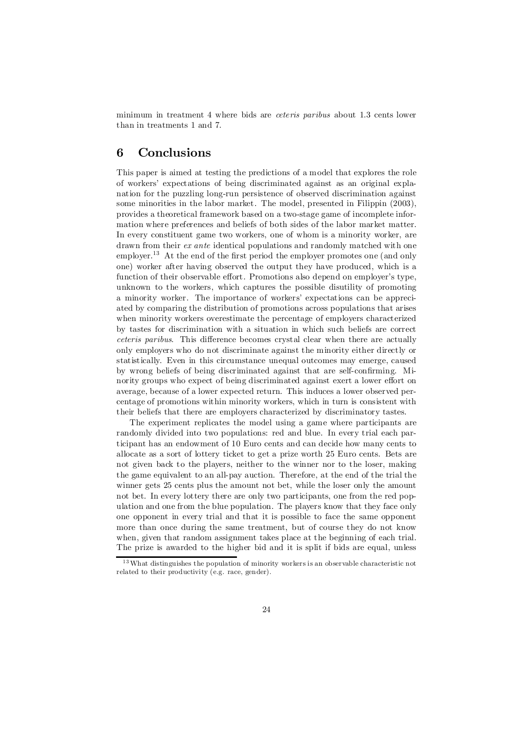minimum in treatment 4 where bids are ceteris paribus about 1.3 cents lower than in treatments 1 and 7.

#### 6 Conclusions

This paper is aimed at testing the predictions of a model that explores the role of workers' expectations of being discriminated against as an original explanation for the puzzling long-run persistence of observed discrimination against some minorities in the labor market. The model, presented in Filippin  $(2003)$ , provides a theoretical framework based on a two-stage game of incomplete information where preferences and beliefs of both sides of the labor market matter. In every constituent game two workers, one of whom is a minority worker, are drawn from their *ex ante* identical populations and randomly matched with one employer.<sup>13</sup> At the end of the first period the employer promotes one (and only one) worker after having observed the output they have produced, which is a function of their observable effort. Promotions also depend on employer's type, unknown to the workers, which captures the possible disutility of promoting a minority worker. The importance of workers' expectations can be appreciated by comparing the distribution of promotions across populations that arises when minority workers overestimate the percentage of employers characterized by tastes for discrimination with a situation in which such beliefs are correct ceteris paribus. This difference becomes crystal clear when there are actually only employers who do not discriminate against the minority either directly or statistically. Even in this circumstance unequal outcomes may emerge, caused by wrong beliefs of being discriminated against that are self-confirming. Minority groups who expect of being discriminated against exert a lower effort on average, because of a lower expected return. This induces a lower observed percentage of promotions within minority workers, which in turn is consistent with their beliefs that there are employers characterized by discriminatory tastes.

The experiment replicates the model using a game where participants are randomly divided into two populations: red and blue. In every trial each participant has an endowment of 10 Euro cents and can decide how many cents to allocate as a sort of lottery ticket to get a prize worth 25 Euro cents. Bets are not given back to the players, neither to the winner nor to the loser, making the game equivalent to an all-pay auction. Therefore, at the end of the trial the winner gets 25 cents plus the amount not bet, while the loser only the amount not bet. In every lottery there are only two participants, one from the red population and one from the blue population. The players know that they face only one opponent in every trial and that it is possible to face the same opponent more than once during the same treatment, but of course they do not know when, given that random assignment takes place at the beginning of each trial. The prize is awarded to the higher bid and it is split if bids are equal, unless

<sup>&</sup>lt;sup>13</sup> What distinguishes the population of minority workers is an observable characteristic not related to their productivity (e.g. race, gender).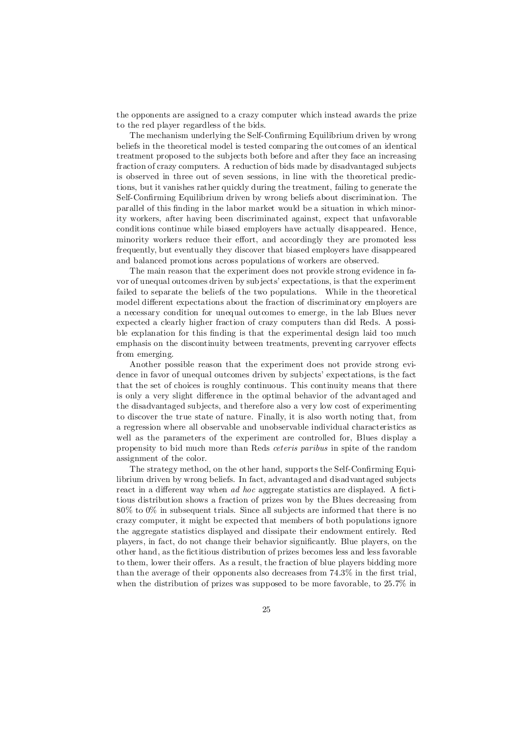the opponents are assigned to a crazy computer which instead awards the prize to the red player regardless of the bids.

The mechanism underlying the Self-Confirming Equilibrium driven by wrong beliefs in the theoretical model is tested comparing the outcomes of an identical treatment proposed to the subjects both before and after they face an increasing fraction of crazy computers. A reduction of bids made by disadvantaged subjects is observed in three out of seven sessions, in line with the theoretical predictions, but it vanishes rather quickly during the treatment, failing to generate the Self-Confirming Equilibrium driven by wrong beliefs about discrimination. The parallel of this finding in the labor market would be a situation in which minority workers, after having been discriminated against, expect that unfavorable conditions continue while biased employers have actually disappeared. Hence, minority workers reduce their effort, and accordingly they are promoted less frequently, but eventually they discover that biased employers have disappeared and balanced promotions across populations of workers are observed.

The main reason that the experiment does not provide strong evidence in favor of unequal outcomes driven by subjects' expectations, is that the experiment failed to separate the beliefs of the two populations. While in the theoretical model different expectations about the fraction of discriminatory employers are a necessary condition for unequal outcomes to emerge, in the lab Blues never expected a clearly higher fraction of crazy computers than did Reds. A possible explanation for this finding is that the experimental design laid too much emphasis on the discontinuity between treatments, preventing carryover effects from emerging.

Another possible reason that the experiment does not provide strong evidence in favor of unequal outcomes driven by subjects' expectations, is the fact that the set of choices is roughly continuous. This continuity means that there is only a very slight difference in the optimal behavior of the advantaged and the disadvantaged subjects, and therefore also a very low cost of experimenting to discover the true state of nature. Finally, it is also worth noting that, from a regression where all observable and unobservable individual characteristics as well as the parameters of the experiment are controlled for, Blues display a propensity to bid much more than Reds ceteris paribus in spite of the random assignment of the color.

The strategy method, on the other hand, supports the Self-Confirming Equilibrium driven by wrong beliefs. In fact, advantaged and disadvantaged subjects react in a different way when  $ad hoc$  aggregate statistics are displayed. A fictitious distribution shows a fraction of prizes won by the Blues decreasing from 80% to 0% in subsequent trials. Since all subjects are informed that there is no crazy computer, it might be expected that members of both populations ignore the aggregate statistics displayed and dissipate their endowment entirely. Red players, in fact, do not change their behavior significantly. Blue players, on the other hand, as the fictitious distribution of prizes becomes less and less favorable to them, lower their offers. As a result, the fraction of blue players bidding more than the average of their opponents also decreases from  $74.3\%$  in the first trial, when the distribution of prizes was supposed to be more favorable, to  $25.7\%$  in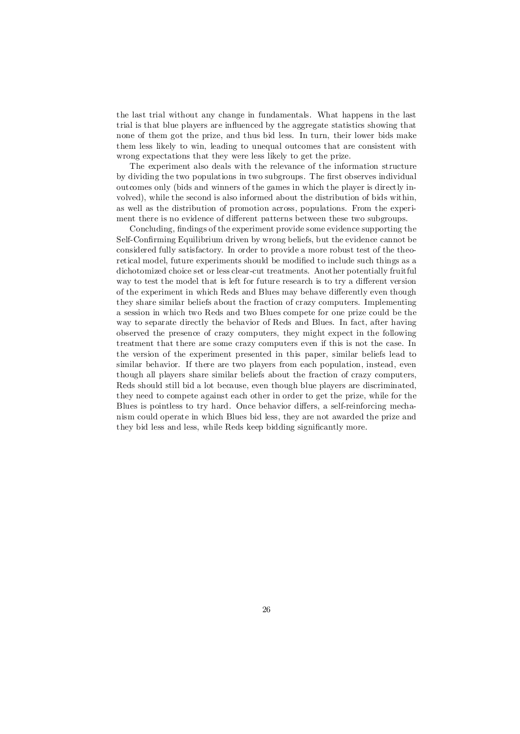the last trial without any change in fundamentals. What happens in the last trial is that blue players are in‡uenced by the aggregate statistics showing that none of them got the prize, and thus bid less. In turn, their lower bids make them less likely to win, leading to unequal outcomes that are consistent with wrong expectations that they were less likely to get the prize.

The experiment also deals with the relevance of the information structure by dividing the two populations in two subgroups. The first observes individual outcomes only (bids and winners of the games in which the player is directly involved), while the second is also informed about the distribution of bids within, as well as the distribution of promotion across, populations. From the experiment there is no evidence of different patterns between these two subgroups.

Concluding, findings of the experiment provide some evidence supporting the Self-Confirming Equilibrium driven by wrong beliefs, but the evidence cannot be considered fully satisfactory. In order to provide a more robust test of the theoretical model, future experiments should be modified to include such things as a dichotomized choice set or less clear-cut treatments. Another potentially fruitful way to test the model that is left for future research is to try a different version of the experiment in which Reds and Blues may behave differently even though they share similar beliefs about the fraction of crazy computers. Implementing a session in which two Reds and two Blues compete for one prize could be the way to separate directly the behavior of Reds and Blues. In fact, after having observed the presence of crazy computers, they might expect in the following treatment that there are some crazy computers even if this is not the case. In the version of the experiment presented in this paper, similar beliefs lead to similar behavior. If there are two players from each population, instead, even though all players share similar beliefs about the fraction of crazy computers, Reds should still bid a lot because, even though blue players are discriminated, they need to compete against each other in order to get the prize, while for the Blues is pointless to try hard. Once behavior differs, a self-reinforcing mechanism could operate in which Blues bid less, they are not awarded the prize and they bid less and less, while Reds keep bidding significantly more.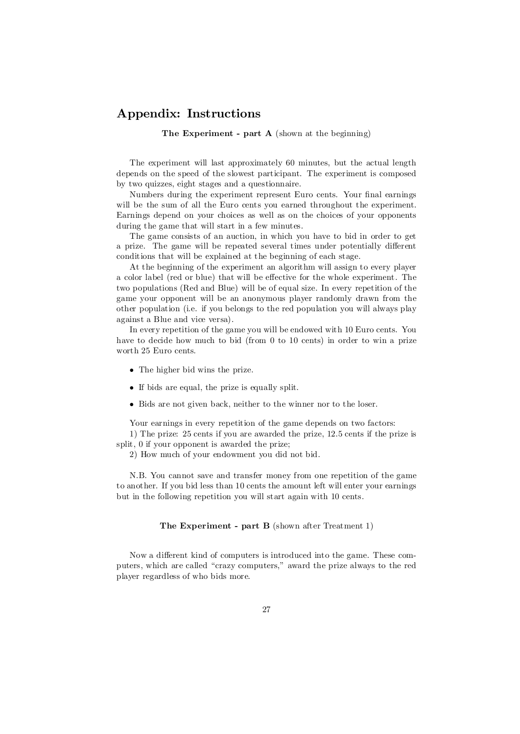#### Appendix: Instructions

#### The Experiment - part A (shown at the beginning)

The experiment will last approximately 60 minutes, but the actual length depends on the speed of the slowest participant. The experiment is composed by two quizzes, eight stages and a questionnaire.

Numbers during the experiment represent Euro cents. Your final earnings will be the sum of all the Euro cents you earned throughout the experiment. Earnings depend on your choices as well as on the choices of your opponents during the game that will start in a few minutes.

The game consists of an auction, in which you have to bid in order to get a prize. The game will be repeated several times under potentially different conditions that will be explained at the beginning of each stage.

At the beginning of the experiment an algorithm will assign to every player a color label (red or blue) that will be effective for the whole experiment. The two populations (Red and Blue) will be of equal size. In every repetition of the game your opponent will be an anonymous player randomly drawn from the other population (i.e. if you belongs to the red population you will always play against a Blue and vice versa).

In every repetition of the game you will be endowed with 10 Euro cents. You have to decide how much to bid (from 0 to 10 cents) in order to win a prize worth 25 Euro cents.

- The higher bid wins the prize.
- If bids are equal, the prize is equally split.
- Bids are not given back, neither to the winner nor to the loser.

Your earnings in every repetition of the game depends on two factors:

1) The prize: 25 cents if you are awarded the prize, 12.5 cents if the prize is split, 0 if your opponent is awarded the prize;

2) How much of your endowment you did not bid.

N.B. You cannot save and transfer money from one repetition of the game to another. If you bid less than 10 cents the amount left will enter your earnings but in the following repetition you will start again with 10 cents.

#### The Experiment - part B (shown after Treatment 1)

Now a different kind of computers is introduced into the game. These computers, which are called "crazy computers," award the prize always to the red player regardless of who bids more.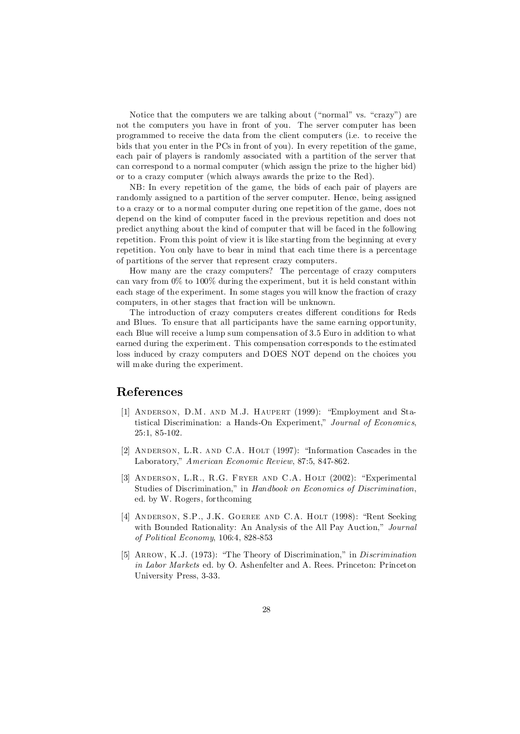Notice that the computers we are talking about ("normal" vs. "crazy") are not the computers you have in front of you. The server computer has been programmed to receive the data from the client computers (i.e. to receive the bids that you enter in the PCs in front of you). In every repetition of the game, each pair of players is randomly associated with a partition of the server that can correspond to a normal computer (which assign the prize to the higher bid) or to a crazy computer (which always awards the prize to the Red).

NB: In every repetition of the game, the bids of each pair of players are randomly assigned to a partition of the server computer. Hence, being assigned to a crazy or to a normal computer during one repetition of the game, does not depend on the kind of computer faced in the previous repetition and does not predict anything about the kind of computer that will be faced in the following repetition. From this point of view it is like starting from the beginning at every repetition. You only have to bear in mind that each time there is a percentage of partitions of the server that represent crazy computers.

How many are the crazy computers? The percentage of crazy computers can vary from 0% to 100% during the experiment, but it is held constant within each stage of the experiment. In some stages you will know the fraction of crazy computers, in other stages that fraction will be unknown.

The introduction of crazy computers creates different conditions for Reds and Blues. To ensure that all participants have the same earning opportunity, each Blue will receive a lump sum compensation of 3.5 Euro in addition to what earned during the experiment. This compensation corresponds to the estimated loss induced by crazy computers and DOES NOT depend on the choices you will make during the experiment.

#### References

- [1] Anderson, D.M. and M.J. Haupert (1999): "Employment and Statistical Discrimination: a Hands-On Experiment," Journal of Economics, 25:1, 85-102.
- [2] ANDERSON, L.R. AND C.A. HOLT (1997): "Information Cascades in the Laboratory," American Economic Review, 87:5, 847-862.
- [3] Anderson, L.R., R.G. Fryer and C.A. Holt (2002): "Experimental Studies of Discrimination," in Handbook on Economics of Discrimination, ed. by W. Rogers, forthcoming
- [4] ANDERSON, S.P., J.K. GOEREE AND C.A. HOLT (1998): "Rent Seeking with Bounded Rationality: An Analysis of the All Pay Auction," Journal of Political Economy, 106:4, 828-853
- [5] ARROW, K.J. (1973): "The Theory of Discrimination," in *Discrimination* in Labor Markets ed. by O. Ashenfelter and A. Rees. Princeton: Princeton University Press, 3-33.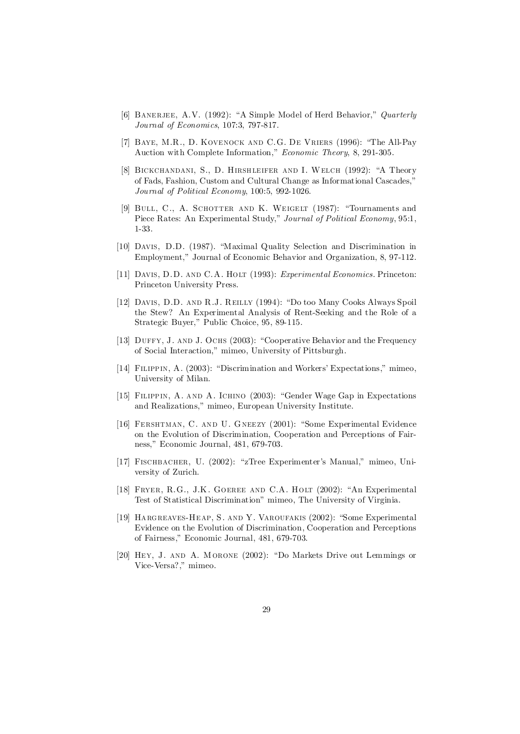- [6] BANERJEE, A.V. (1992): "A Simple Model of Herd Behavior," Quarterly Journal of Economics, 107:3, 797-817.
- [7] Baye, M.R., D. Kovenock and C.G. De Vriers (1996): "The All-Pay Auction with Complete Information," Economic Theory, 8, 291-305.
- [8] Bickchandani, S., D. Hirshleifer and I. Welch (1992): "A Theory of Fads, Fashion, Custom and Cultural Change as Informational Cascades," Journal of Political Economy, 100:5, 992-1026.
- [9] Bull, C., A. Schotter and K. Weigelt (1987): "Tournaments and Piece Rates: An Experimental Study," Journal of Political Economy, 95:1, 1-33.
- [10] Davis, D.D. (1987). "Maximal Quality Selection and Discrimination in Employment," Journal of Economic Behavior and Organization, 8, 97-112.
- [11] Davis, D.D. and C.A. Holt (1993): Experimental Economics. Princeton: Princeton University Press.
- [12] Davis, D.D. and R.J. Reilly (1994): "Do too Many Cooks Always Spoil the Stew? An Experimental Analysis of Rent-Seeking and the Role of a Strategic Buyer," Public Choice, 95, 89-115.
- [13] Duffy, J. and J. Ochs (2003): "Cooperative Behavior and the Frequency of Social Interaction," mimeo, University of Pittsburgh.
- [14] Filippin, A. (2003): "Discrimination and Workers' Expectations," mimeo, University of Milan.
- [15] Filippin, A. and A. Ichino (2003): "Gender Wage Gap in Expectations and Realizations," mimeo, European University Institute.
- [16] FERSHTMAN, C. AND U. GNEEZY (2001): "Some Experimental Evidence on the Evolution of Discrimination, Cooperation and Perceptions of Fairness," Economic Journal, 481, 679-703.
- [17] FISCHBACHER, U. (2002): "zTree Experimenter's Manual," mimeo, University of Zurich.
- [18] FRYER, R.G., J.K. GOEREE AND C.A. HOLT (2002): "An Experimental Test of Statistical Discrimination" mimeo, The University of Virginia.
- [19] Hargreaves-Heap, S. and Y. Varoufakis (2002): "Some Experimental Evidence on the Evolution of Discrimination, Cooperation and Perceptions of Fairness," Economic Journal, 481, 679-703.
- [20] Hey, J. and A. Morone (2002): "Do Markets Drive out Lemmings or Vice-Versa?," mimeo.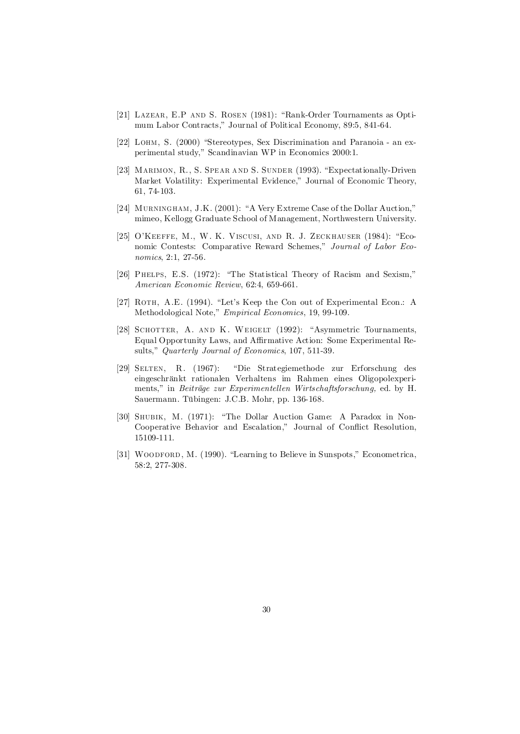- [21] Lazear, E.P and S. Rosen (1981): "Rank-Order Tournaments as Optimum Labor Contracts," Journal of Political Economy, 89:5, 841-64.
- [22] LOHM, S. (2000) "Stereotypes, Sex Discrimination and Paranoia an experimental study," Scandinavian WP in Economics 2000:1.
- [23] MARIMON, R., S. SPEAR AND S. SUNDER (1993). "Expectationally-Driven Market Volatility: Experimental Evidence," Journal of Economic Theory, 61, 74-103.
- [24] Murningham, J.K. (2001): "A Very Extreme Case of the Dollar Auction," mimeo, Kellogg Graduate School of Management, Northwestern University.
- [25] O'Keeffe, M., W. K. Viscusi, and R. J. Zeckhauser (1984): "Economic Contests: Comparative Reward Schemes," Journal of Labor Economics, 2:1, 27-56.
- [26] Phelps, E.S. (1972): "The Statistical Theory of Racism and Sexism," American Economic Review, 62:4, 659-661.
- [27] ROTH, A.E. (1994). "Let's Keep the Con out of Experimental Econ.: A Methodological Note," Empirical Economics, 19, 99-109.
- [28] SCHOTTER, A. AND K. WEIGELT (1992): "Asymmetric Tournaments, Equal Opportunity Laws, and Affirmative Action: Some Experimental Results," Quarterly Journal of Economics, 107, 511-39.
- [29] Selten, R. (1967): "Die Strategiemethode zur Erforschung des eingeschränkt rationalen Verhaltens im Rahmen eines Oligopolexperiments," in Beiträge zur Experimentellen Wirtschaftsforschung, ed. by H. Sauermann. Tübingen: J.C.B. Mohr, pp. 136-168.
- [30] Shubik, M. (1971): "The Dollar Auction Game: A Paradox in Non-Cooperative Behavior and Escalation," Journal of Conflict Resolution, 15109-111.
- [31] WOODFORD, M. (1990). "Learning to Believe in Sunspots," Econometrica, 58:2, 277-308.